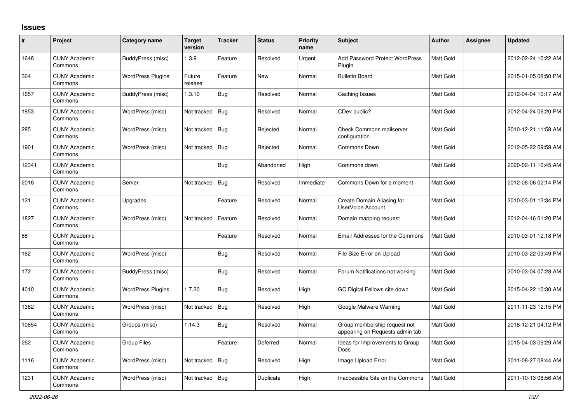## **Issues**

| $\pmb{\#}$ | Project                         | Category name            | <b>Target</b><br>version | <b>Tracker</b> | <b>Status</b> | <b>Priority</b><br>name | Subject                                                         | <b>Author</b> | <b>Assignee</b> | <b>Updated</b>      |
|------------|---------------------------------|--------------------------|--------------------------|----------------|---------------|-------------------------|-----------------------------------------------------------------|---------------|-----------------|---------------------|
| 1648       | <b>CUNY Academic</b><br>Commons | BuddyPress (misc)        | 1.3.9                    | Feature        | Resolved      | Urgent                  | <b>Add Password Protect WordPress</b><br>Plugin                 | Matt Gold     |                 | 2012-02-24 10:22 AM |
| 364        | <b>CUNY Academic</b><br>Commons | <b>WordPress Plugins</b> | Future<br>release        | Feature        | New           | Normal                  | <b>Bulletin Board</b>                                           | Matt Gold     |                 | 2015-01-05 08:50 PM |
| 1657       | <b>CUNY Academic</b><br>Commons | BuddyPress (misc)        | 1.3.10                   | <b>Bug</b>     | Resolved      | Normal                  | Caching Issues                                                  | Matt Gold     |                 | 2012-04-04 10:17 AM |
| 1853       | <b>CUNY Academic</b><br>Commons | WordPress (misc)         | Not tracked              | Bug            | Resolved      | Normal                  | CDev public?                                                    | Matt Gold     |                 | 2012-04-24 06:20 PM |
| 285        | <b>CUNY Academic</b><br>Commons | WordPress (misc)         | Not tracked              | <b>Bug</b>     | Rejected      | Normal                  | <b>Check Commons mailserver</b><br>configuration                | Matt Gold     |                 | 2010-12-21 11:58 AM |
| 1901       | <b>CUNY Academic</b><br>Commons | WordPress (misc)         | Not tracked              | Bug            | Rejected      | Normal                  | Commons Down                                                    | Matt Gold     |                 | 2012-05-22 09:59 AM |
| 12341      | <b>CUNY Academic</b><br>Commons |                          |                          | Bug            | Abandoned     | High                    | Commons down                                                    | Matt Gold     |                 | 2020-02-11 10:45 AM |
| 2016       | <b>CUNY Academic</b><br>Commons | Server                   | Not tracked              | Bug            | Resolved      | Immediate               | Commons Down for a moment                                       | Matt Gold     |                 | 2012-08-06 02:14 PM |
| 121        | <b>CUNY Academic</b><br>Commons | Upgrades                 |                          | Feature        | Resolved      | Normal                  | Create Domain Aliasing for<br><b>UserVoice Account</b>          | Matt Gold     |                 | 2010-03-01 12:34 PM |
| 1827       | <b>CUNY Academic</b><br>Commons | WordPress (misc)         | Not tracked              | Feature        | Resolved      | Normal                  | Domain mapping request                                          | Matt Gold     |                 | 2012-04-16 01:20 PM |
| 68         | <b>CUNY Academic</b><br>Commons |                          |                          | Feature        | Resolved      | Normal                  | <b>Email Addresses for the Commons</b>                          | Matt Gold     |                 | 2010-03-01 12:18 PM |
| 162        | <b>CUNY Academic</b><br>Commons | WordPress (misc)         |                          | Bug            | Resolved      | Normal                  | File Size Error on Upload                                       | Matt Gold     |                 | 2010-03-22 03:49 PM |
| 172        | <b>CUNY Academic</b><br>Commons | BuddyPress (misc)        |                          | Bug            | Resolved      | Normal                  | Forum Notifications not working                                 | Matt Gold     |                 | 2010-03-04 07:28 AM |
| 4010       | <b>CUNY Academic</b><br>Commons | <b>WordPress Plugins</b> | 1.7.20                   | Bug            | Resolved      | High                    | GC Digital Fellows site down                                    | Matt Gold     |                 | 2015-04-22 10:30 AM |
| 1362       | <b>CUNY Academic</b><br>Commons | WordPress (misc)         | Not tracked              | Bug            | Resolved      | High                    | Google Malware Warning                                          | Matt Gold     |                 | 2011-11-23 12:15 PM |
| 10854      | <b>CUNY Academic</b><br>Commons | Groups (misc)            | 1.14.3                   | Bug            | Resolved      | Normal                  | Group membership request not<br>appearing on Requests admin tab | Matt Gold     |                 | 2018-12-21 04:12 PM |
| 262        | <b>CUNY Academic</b><br>Commons | Group Files              |                          | Feature        | Deferred      | Normal                  | Ideas for Improvements to Group<br><b>Docs</b>                  | Matt Gold     |                 | 2015-04-03 09:29 AM |
| 1116       | <b>CUNY Academic</b><br>Commons | WordPress (misc)         | Not tracked              | Bug            | Resolved      | High                    | Image Upload Error                                              | Matt Gold     |                 | 2011-08-27 08:44 AM |
| 1231       | <b>CUNY Academic</b><br>Commons | WordPress (misc)         | Not tracked              | Bug            | Duplicate     | High                    | Inaccessible Site on the Commons                                | Matt Gold     |                 | 2011-10-13 08:56 AM |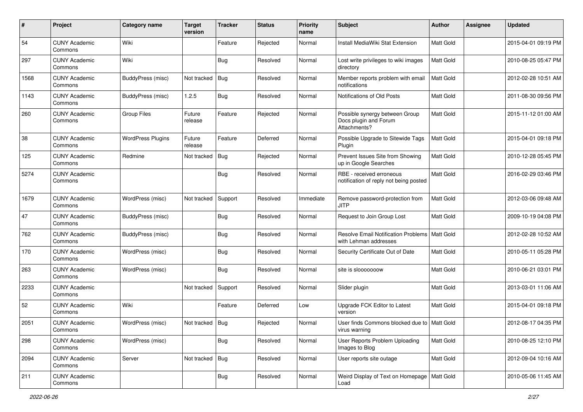| #    | Project                         | <b>Category name</b>     | <b>Target</b><br>version | <b>Tracker</b> | <b>Status</b> | <b>Priority</b><br>name | <b>Subject</b>                                                          | <b>Author</b>    | <b>Assignee</b> | <b>Updated</b>      |
|------|---------------------------------|--------------------------|--------------------------|----------------|---------------|-------------------------|-------------------------------------------------------------------------|------------------|-----------------|---------------------|
| 54   | <b>CUNY Academic</b><br>Commons | Wiki                     |                          | Feature        | Rejected      | Normal                  | Install MediaWiki Stat Extension                                        | Matt Gold        |                 | 2015-04-01 09:19 PM |
| 297  | <b>CUNY Academic</b><br>Commons | Wiki                     |                          | Bug            | Resolved      | Normal                  | Lost write privileges to wiki images<br>directory                       | <b>Matt Gold</b> |                 | 2010-08-25 05:47 PM |
| 1568 | <b>CUNY Academic</b><br>Commons | BuddyPress (misc)        | Not tracked              | Bug            | Resolved      | Normal                  | Member reports problem with email<br>notifications                      | Matt Gold        |                 | 2012-02-28 10:51 AM |
| 1143 | <b>CUNY Academic</b><br>Commons | BuddyPress (misc)        | 1.2.5                    | <b>Bug</b>     | Resolved      | Normal                  | Notifications of Old Posts                                              | <b>Matt Gold</b> |                 | 2011-08-30 09:56 PM |
| 260  | <b>CUNY Academic</b><br>Commons | <b>Group Files</b>       | Future<br>release        | Feature        | Rejected      | Normal                  | Possible synergy between Group<br>Docs plugin and Forum<br>Attachments? | Matt Gold        |                 | 2015-11-12 01:00 AM |
| 38   | <b>CUNY Academic</b><br>Commons | <b>WordPress Plugins</b> | Future<br>release        | Feature        | Deferred      | Normal                  | Possible Upgrade to Sitewide Tags<br>Plugin                             | <b>Matt Gold</b> |                 | 2015-04-01 09:18 PM |
| 125  | <b>CUNY Academic</b><br>Commons | Redmine                  | Not tracked              | Bug            | Rejected      | Normal                  | Prevent Issues Site from Showing<br>up in Google Searches               | <b>Matt Gold</b> |                 | 2010-12-28 05:45 PM |
| 5274 | <b>CUNY Academic</b><br>Commons |                          |                          | <b>Bug</b>     | Resolved      | Normal                  | RBE - received erroneous<br>notification of reply not being posted      | Matt Gold        |                 | 2016-02-29 03:46 PM |
| 1679 | <b>CUNY Academic</b><br>Commons | WordPress (misc)         | Not tracked              | Support        | Resolved      | Immediate               | Remove password-protection from<br>JITP                                 | Matt Gold        |                 | 2012-03-06 09:48 AM |
| 47   | <b>CUNY Academic</b><br>Commons | BuddyPress (misc)        |                          | Bug            | Resolved      | Normal                  | Request to Join Group Lost                                              | Matt Gold        |                 | 2009-10-19 04:08 PM |
| 762  | CUNY Academic<br>Commons        | BuddyPress (misc)        |                          | Bug            | Resolved      | Normal                  | <b>Resolve Email Notification Problems</b><br>with Lehman addresses     | <b>Matt Gold</b> |                 | 2012-02-28 10:52 AM |
| 170  | <b>CUNY Academic</b><br>Commons | WordPress (misc)         |                          | <b>Bug</b>     | Resolved      | Normal                  | Security Certificate Out of Date                                        | Matt Gold        |                 | 2010-05-11 05:28 PM |
| 263  | <b>CUNY Academic</b><br>Commons | WordPress (misc)         |                          | Bug            | Resolved      | Normal                  | site is slooooooow                                                      | Matt Gold        |                 | 2010-06-21 03:01 PM |
| 2233 | <b>CUNY Academic</b><br>Commons |                          | Not tracked              | Support        | Resolved      | Normal                  | Slider plugin                                                           | Matt Gold        |                 | 2013-03-01 11:06 AM |
| 52   | <b>CUNY Academic</b><br>Commons | Wiki                     |                          | Feature        | Deferred      | Low                     | Upgrade FCK Editor to Latest<br>version                                 | <b>Matt Gold</b> |                 | 2015-04-01 09:18 PM |
| 2051 | <b>CUNY Academic</b><br>Commons | WordPress (misc)         | Not tracked   Bug        |                | Rejected      | Normal                  | User finds Commons blocked due to   Matt Gold<br>virus warning          |                  |                 | 2012-08-17 04:35 PM |
| 298  | <b>CUNY Academic</b><br>Commons | WordPress (misc)         |                          | <b>Bug</b>     | Resolved      | Normal                  | User Reports Problem Uploading<br>Images to Blog                        | Matt Gold        |                 | 2010-08-25 12:10 PM |
| 2094 | <b>CUNY Academic</b><br>Commons | Server                   | Not tracked   Bug        |                | Resolved      | Normal                  | User reports site outage                                                | Matt Gold        |                 | 2012-09-04 10:16 AM |
| 211  | <b>CUNY Academic</b><br>Commons |                          |                          | <b>Bug</b>     | Resolved      | Normal                  | Weird Display of Text on Homepage<br>Load                               | Matt Gold        |                 | 2010-05-06 11:45 AM |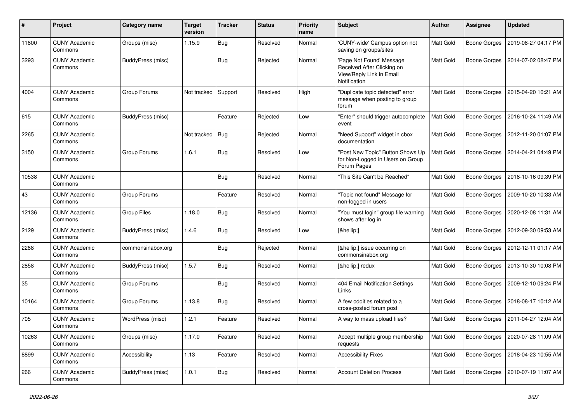| #     | Project                         | <b>Category name</b> | <b>Target</b><br>version | <b>Tracker</b> | <b>Status</b> | <b>Priority</b><br>name | Subject                                                                                            | <b>Author</b>    | <b>Assignee</b>     | <b>Updated</b>      |
|-------|---------------------------------|----------------------|--------------------------|----------------|---------------|-------------------------|----------------------------------------------------------------------------------------------------|------------------|---------------------|---------------------|
| 11800 | <b>CUNY Academic</b><br>Commons | Groups (misc)        | 1.15.9                   | Bug            | Resolved      | Normal                  | 'CUNY-wide' Campus option not<br>saving on groups/sites                                            | Matt Gold        | <b>Boone Gorges</b> | 2019-08-27 04:17 PM |
| 3293  | <b>CUNY Academic</b><br>Commons | BuddyPress (misc)    |                          | <b>Bug</b>     | Rejected      | Normal                  | 'Page Not Found' Message<br>Received After Clicking on<br>View/Reply Link in Email<br>Notification | Matt Gold        | <b>Boone Gorges</b> | 2014-07-02 08:47 PM |
| 4004  | <b>CUNY Academic</b><br>Commons | Group Forums         | Not tracked              | Support        | Resolved      | High                    | "Duplicate topic detected" error<br>message when posting to group<br>forum                         | Matt Gold        | <b>Boone Gorges</b> | 2015-04-20 10:21 AM |
| 615   | <b>CUNY Academic</b><br>Commons | BuddyPress (misc)    |                          | Feature        | Rejected      | Low                     | "Enter" should trigger autocomplete<br>event                                                       | Matt Gold        | <b>Boone Gorges</b> | 2016-10-24 11:49 AM |
| 2265  | <b>CUNY Academic</b><br>Commons |                      | Not tracked              | Bug            | Rejected      | Normal                  | "Need Support" widget in cbox<br>documentation                                                     | Matt Gold        | Boone Gorges        | 2012-11-20 01:07 PM |
| 3150  | <b>CUNY Academic</b><br>Commons | Group Forums         | 1.6.1                    | Bug            | Resolved      | Low                     | "Post New Topic" Button Shows Up<br>for Non-Logged in Users on Group<br>Forum Pages                | Matt Gold        | <b>Boone Gorges</b> | 2014-04-21 04:49 PM |
| 10538 | <b>CUNY Academic</b><br>Commons |                      |                          | <b>Bug</b>     | Resolved      | Normal                  | "This Site Can't be Reached"                                                                       | Matt Gold        | <b>Boone Gorges</b> | 2018-10-16 09:39 PM |
| 43    | <b>CUNY Academic</b><br>Commons | Group Forums         |                          | Feature        | Resolved      | Normal                  | "Topic not found" Message for<br>non-logged in users                                               | Matt Gold        | <b>Boone Gorges</b> | 2009-10-20 10:33 AM |
| 12136 | <b>CUNY Academic</b><br>Commons | <b>Group Files</b>   | 1.18.0                   | Bug            | Resolved      | Normal                  | "You must login" group file warning<br>shows after log in                                          | Matt Gold        | <b>Boone Gorges</b> | 2020-12-08 11:31 AM |
| 2129  | <b>CUNY Academic</b><br>Commons | BuddyPress (misc)    | 1.4.6                    | Bug            | Resolved      | Low                     | […]                                                                                                | Matt Gold        | <b>Boone Gorges</b> | 2012-09-30 09:53 AM |
| 2288  | <b>CUNY Academic</b><br>Commons | commonsinabox.org    |                          | Bug            | Rejected      | Normal                  | […] issue occurring on<br>commonsinabox.org                                                        | Matt Gold        | Boone Gorges        | 2012-12-11 01:17 AM |
| 2858  | <b>CUNY Academic</b><br>Commons | BuddyPress (misc)    | 1.5.7                    | Bug            | Resolved      | Normal                  | […] redux                                                                                          | Matt Gold        | <b>Boone Gorges</b> | 2013-10-30 10:08 PM |
| 35    | <b>CUNY Academic</b><br>Commons | Group Forums         |                          | Bug            | Resolved      | Normal                  | 404 Email Notification Settings<br>Links                                                           | <b>Matt Gold</b> | <b>Boone Gorges</b> | 2009-12-10 09:24 PM |
| 10164 | <b>CUNY Academic</b><br>Commons | Group Forums         | 1.13.8                   | <b>Bug</b>     | Resolved      | Normal                  | A few oddities related to a<br>cross-posted forum post                                             | Matt Gold        | <b>Boone Gorges</b> | 2018-08-17 10:12 AM |
| 705   | <b>CUNY Academic</b><br>Commons | WordPress (misc)     | 1.2.1                    | Feature        | Resolved      | Normal                  | A way to mass upload files?                                                                        | Matt Gold        | Boone Gorges        | 2011-04-27 12:04 AM |
| 10263 | <b>CUNY Academic</b><br>Commons | Groups (misc)        | 1.17.0                   | Feature        | Resolved      | Normal                  | Accept multiple group membership<br>requests                                                       | Matt Gold        | Boone Gorges        | 2020-07-28 11:09 AM |
| 8899  | <b>CUNY Academic</b><br>Commons | Accessibility        | 1.13                     | Feature        | Resolved      | Normal                  | <b>Accessibility Fixes</b>                                                                         | Matt Gold        | Boone Gorges        | 2018-04-23 10:55 AM |
| 266   | <b>CUNY Academic</b><br>Commons | BuddyPress (misc)    | 1.0.1                    | Bug            | Resolved      | Normal                  | <b>Account Deletion Process</b>                                                                    | Matt Gold        | <b>Boone Gorges</b> | 2010-07-19 11:07 AM |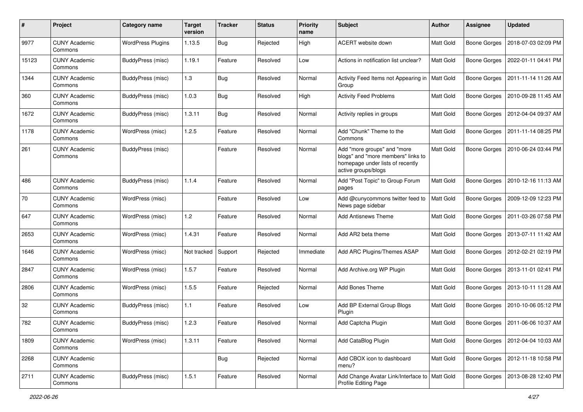| #     | Project                         | Category name            | <b>Target</b><br>version | <b>Tracker</b> | <b>Status</b> | <b>Priority</b><br>name | Subject                                                                                                                      | <b>Author</b> | <b>Assignee</b>     | <b>Updated</b>      |
|-------|---------------------------------|--------------------------|--------------------------|----------------|---------------|-------------------------|------------------------------------------------------------------------------------------------------------------------------|---------------|---------------------|---------------------|
| 9977  | <b>CUNY Academic</b><br>Commons | <b>WordPress Plugins</b> | 1.13.5                   | Bug            | Rejected      | High                    | ACERT website down                                                                                                           | Matt Gold     | <b>Boone Gorges</b> | 2018-07-03 02:09 PM |
| 15123 | <b>CUNY Academic</b><br>Commons | BuddyPress (misc)        | 1.19.1                   | Feature        | Resolved      | Low                     | Actions in notification list unclear?                                                                                        | Matt Gold     | <b>Boone Gorges</b> | 2022-01-11 04:41 PM |
| 1344  | <b>CUNY Academic</b><br>Commons | BuddyPress (misc)        | 1.3                      | Bug            | Resolved      | Normal                  | Activity Feed Items not Appearing in<br>Group                                                                                | Matt Gold     | <b>Boone Gorges</b> | 2011-11-14 11:26 AM |
| 360   | <b>CUNY Academic</b><br>Commons | BuddyPress (misc)        | 1.0.3                    | Bug            | Resolved      | High                    | <b>Activity Feed Problems</b>                                                                                                | Matt Gold     | <b>Boone Gorges</b> | 2010-09-28 11:45 AM |
| 1672  | <b>CUNY Academic</b><br>Commons | BuddyPress (misc)        | 1.3.11                   | Bug            | Resolved      | Normal                  | Activity replies in groups                                                                                                   | Matt Gold     | <b>Boone Gorges</b> | 2012-04-04 09:37 AM |
| 1178  | <b>CUNY Academic</b><br>Commons | WordPress (misc)         | 1.2.5                    | Feature        | Resolved      | Normal                  | Add "Chunk" Theme to the<br>Commons                                                                                          | Matt Gold     | <b>Boone Gorges</b> | 2011-11-14 08:25 PM |
| 261   | <b>CUNY Academic</b><br>Commons | BuddyPress (misc)        |                          | Feature        | Resolved      | Normal                  | Add "more groups" and "more<br>blogs" and "more members" links to<br>homepage under lists of recently<br>active groups/blogs | Matt Gold     | <b>Boone Gorges</b> | 2010-06-24 03:44 PM |
| 486   | <b>CUNY Academic</b><br>Commons | BuddyPress (misc)        | 1.1.4                    | Feature        | Resolved      | Normal                  | Add "Post Topic" to Group Forum<br>pages                                                                                     | Matt Gold     | <b>Boone Gorges</b> | 2010-12-16 11:13 AM |
| 70    | <b>CUNY Academic</b><br>Commons | WordPress (misc)         |                          | Feature        | Resolved      | Low                     | Add @cunycommons twitter feed to<br>News page sidebar                                                                        | Matt Gold     | Boone Gorges        | 2009-12-09 12:23 PM |
| 647   | <b>CUNY Academic</b><br>Commons | WordPress (misc)         | 1.2                      | Feature        | Resolved      | Normal                  | <b>Add Antisnews Theme</b>                                                                                                   | Matt Gold     | <b>Boone Gorges</b> | 2011-03-26 07:58 PM |
| 2653  | <b>CUNY Academic</b><br>Commons | WordPress (misc)         | 1.4.31                   | Feature        | Resolved      | Normal                  | Add AR2 beta theme                                                                                                           | Matt Gold     | <b>Boone Gorges</b> | 2013-07-11 11:42 AM |
| 1646  | <b>CUNY Academic</b><br>Commons | WordPress (misc)         | Not tracked              | Support        | Rejected      | Immediate               | Add ARC Plugins/Themes ASAP                                                                                                  | Matt Gold     | <b>Boone Gorges</b> | 2012-02-21 02:19 PM |
| 2847  | <b>CUNY Academic</b><br>Commons | WordPress (misc)         | 1.5.7                    | Feature        | Resolved      | Normal                  | Add Archive.org WP Plugin                                                                                                    | Matt Gold     | <b>Boone Gorges</b> | 2013-11-01 02:41 PM |
| 2806  | <b>CUNY Academic</b><br>Commons | WordPress (misc)         | 1.5.5                    | Feature        | Rejected      | Normal                  | <b>Add Bones Theme</b>                                                                                                       | Matt Gold     | <b>Boone Gorges</b> | 2013-10-11 11:28 AM |
| 32    | <b>CUNY Academic</b><br>Commons | BuddyPress (misc)        | 1.1                      | Feature        | Resolved      | Low                     | Add BP External Group Blogs<br>Plugin                                                                                        | Matt Gold     | <b>Boone Gorges</b> | 2010-10-06 05:12 PM |
| 782   | <b>CUNY Academic</b><br>Commons | BuddyPress (misc)        | 1.2.3                    | Feature        | Resolved      | Normal                  | Add Captcha Plugin                                                                                                           | Matt Gold     | <b>Boone Gorges</b> | 2011-06-06 10:37 AM |
| 1809  | <b>CUNY Academic</b><br>Commons | WordPress (misc)         | 1.3.11                   | Feature        | Resolved      | Normal                  | Add CataBlog Plugin                                                                                                          | Matt Gold     | <b>Boone Gorges</b> | 2012-04-04 10:03 AM |
| 2268  | <b>CUNY Academic</b><br>Commons |                          |                          | <b>Bug</b>     | Rejected      | Normal                  | Add CBOX icon to dashboard<br>menu?                                                                                          | Matt Gold     | Boone Gorges        | 2012-11-18 10:58 PM |
| 2711  | <b>CUNY Academic</b><br>Commons | BuddyPress (misc)        | 1.5.1                    | Feature        | Resolved      | Normal                  | Add Change Avatar Link/Interface to<br>Profile Editing Page                                                                  | Matt Gold     | <b>Boone Gorges</b> | 2013-08-28 12:40 PM |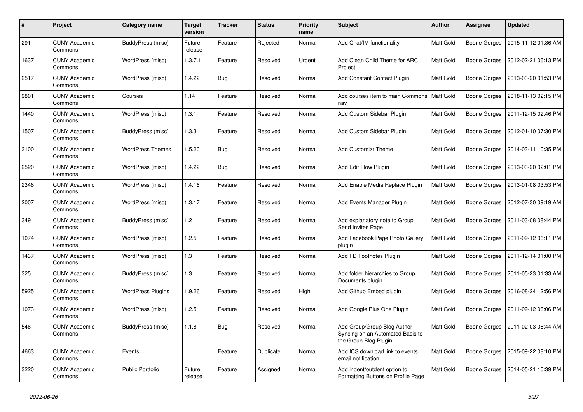| #    | Project                         | Category name            | <b>Target</b><br>version | <b>Tracker</b> | <b>Status</b> | <b>Priority</b><br>name | Subject                                                                                  | <b>Author</b>    | <b>Assignee</b>     | <b>Updated</b>      |
|------|---------------------------------|--------------------------|--------------------------|----------------|---------------|-------------------------|------------------------------------------------------------------------------------------|------------------|---------------------|---------------------|
| 291  | <b>CUNY Academic</b><br>Commons | BuddyPress (misc)        | Future<br>release        | Feature        | Rejected      | Normal                  | Add Chat/IM functionality                                                                | <b>Matt Gold</b> | <b>Boone Gorges</b> | 2015-11-12 01:36 AM |
| 1637 | <b>CUNY Academic</b><br>Commons | WordPress (misc)         | 1.3.7.1                  | Feature        | Resolved      | Urgent                  | Add Clean Child Theme for ARC<br>Project                                                 | Matt Gold        | Boone Gorges        | 2012-02-21 06:13 PM |
| 2517 | <b>CUNY Academic</b><br>Commons | WordPress (misc)         | 1.4.22                   | <b>Bug</b>     | Resolved      | Normal                  | Add Constant Contact Plugin                                                              | Matt Gold        | Boone Gorges        | 2013-03-20 01:53 PM |
| 9801 | <b>CUNY Academic</b><br>Commons | Courses                  | 1.14                     | Feature        | Resolved      | Normal                  | Add courses item to main Commons<br>nav                                                  | <b>Matt Gold</b> | <b>Boone Gorges</b> | 2018-11-13 02:15 PM |
| 1440 | <b>CUNY Academic</b><br>Commons | WordPress (misc)         | 1.3.1                    | Feature        | Resolved      | Normal                  | Add Custom Sidebar Plugin                                                                | Matt Gold        | Boone Gorges        | 2011-12-15 02:46 PM |
| 1507 | <b>CUNY Academic</b><br>Commons | BuddyPress (misc)        | 1.3.3                    | Feature        | Resolved      | Normal                  | Add Custom Sidebar Plugin                                                                | Matt Gold        | <b>Boone Gorges</b> | 2012-01-10 07:30 PM |
| 3100 | <b>CUNY Academic</b><br>Commons | <b>WordPress Themes</b>  | 1.5.20                   | Bug            | Resolved      | Normal                  | <b>Add Customizr Theme</b>                                                               | Matt Gold        | Boone Gorges        | 2014-03-11 10:35 PM |
| 2520 | <b>CUNY Academic</b><br>Commons | WordPress (misc)         | 1.4.22                   | Bug            | Resolved      | Normal                  | Add Edit Flow Plugin                                                                     | <b>Matt Gold</b> | Boone Gorges        | 2013-03-20 02:01 PM |
| 2346 | <b>CUNY Academic</b><br>Commons | WordPress (misc)         | 1.4.16                   | Feature        | Resolved      | Normal                  | Add Enable Media Replace Plugin                                                          | Matt Gold        | <b>Boone Gorges</b> | 2013-01-08 03:53 PM |
| 2007 | <b>CUNY Academic</b><br>Commons | WordPress (misc)         | 1.3.17                   | Feature        | Resolved      | Normal                  | Add Events Manager Plugin                                                                | Matt Gold        | Boone Gorges        | 2012-07-30 09:19 AM |
| 349  | <b>CUNY Academic</b><br>Commons | BuddyPress (misc)        | 1.2                      | Feature        | Resolved      | Normal                  | Add explanatory note to Group<br>Send Invites Page                                       | Matt Gold        | <b>Boone Gorges</b> | 2011-03-08 08:44 PM |
| 1074 | <b>CUNY Academic</b><br>Commons | WordPress (misc)         | 1.2.5                    | Feature        | Resolved      | Normal                  | Add Facebook Page Photo Gallery<br>plugin                                                | Matt Gold        | <b>Boone Gorges</b> | 2011-09-12 06:11 PM |
| 1437 | <b>CUNY Academic</b><br>Commons | WordPress (misc)         | 1.3                      | Feature        | Resolved      | Normal                  | Add FD Footnotes Plugin                                                                  | Matt Gold        | Boone Gorges        | 2011-12-14 01:00 PM |
| 325  | <b>CUNY Academic</b><br>Commons | BuddyPress (misc)        | 1.3                      | Feature        | Resolved      | Normal                  | Add folder hierarchies to Group<br>Documents plugin                                      | Matt Gold        | Boone Gorges        | 2011-05-23 01:33 AM |
| 5925 | <b>CUNY Academic</b><br>Commons | <b>WordPress Plugins</b> | 1.9.26                   | Feature        | Resolved      | High                    | Add Github Embed plugin                                                                  | <b>Matt Gold</b> | Boone Gorges        | 2016-08-24 12:56 PM |
| 1073 | <b>CUNY Academic</b><br>Commons | WordPress (misc)         | 1.2.5                    | Feature        | Resolved      | Normal                  | Add Google Plus One Plugin                                                               | Matt Gold        | Boone Gorges        | 2011-09-12 06:06 PM |
| 546  | <b>CUNY Academic</b><br>Commons | BuddyPress (misc)        | 1.1.8                    | <b>Bug</b>     | Resolved      | Normal                  | Add Group/Group Blog Author<br>Syncing on an Automated Basis to<br>the Group Blog Plugin | Matt Gold        | Boone Gorges        | 2011-02-03 08:44 AM |
| 4663 | <b>CUNY Academic</b><br>Commons | Events                   |                          | Feature        | Duplicate     | Normal                  | Add ICS download link to events<br>email notification                                    | Matt Gold        | Boone Gorges        | 2015-09-22 08:10 PM |
| 3220 | <b>CUNY Academic</b><br>Commons | <b>Public Portfolio</b>  | Future<br>release        | Feature        | Assigned      | Normal                  | Add indent/outdent option to<br>Formatting Buttons on Profile Page                       | Matt Gold        | Boone Gorges        | 2014-05-21 10:39 PM |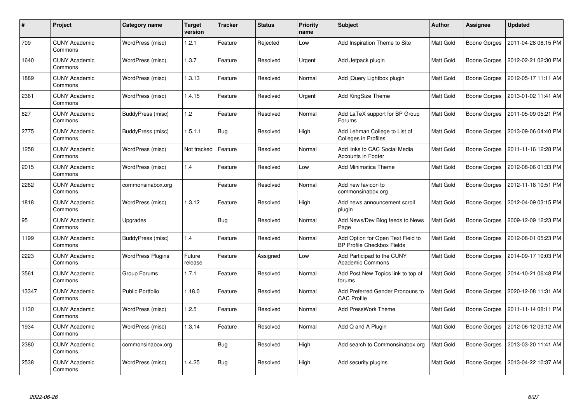| $\pmb{\#}$ | Project                         | <b>Category name</b>    | Target<br>version | <b>Tracker</b> | <b>Status</b> | <b>Priority</b><br>name | <b>Subject</b>                                                         | Author           | <b>Assignee</b>     | <b>Updated</b>      |
|------------|---------------------------------|-------------------------|-------------------|----------------|---------------|-------------------------|------------------------------------------------------------------------|------------------|---------------------|---------------------|
| 709        | <b>CUNY Academic</b><br>Commons | WordPress (misc)        | 1.2.1             | Feature        | Rejected      | Low                     | Add Inspiration Theme to Site                                          | <b>Matt Gold</b> | <b>Boone Gorges</b> | 2011-04-28 08:15 PM |
| 1640       | <b>CUNY Academic</b><br>Commons | WordPress (misc)        | 1.3.7             | Feature        | Resolved      | Urgent                  | Add Jetpack plugin                                                     | Matt Gold        | Boone Gorges        | 2012-02-21 02:30 PM |
| 1889       | <b>CUNY Academic</b><br>Commons | WordPress (misc)        | 1.3.13            | Feature        | Resolved      | Normal                  | Add jQuery Lightbox plugin                                             | <b>Matt Gold</b> | Boone Gorges        | 2012-05-17 11:11 AM |
| 2361       | <b>CUNY Academic</b><br>Commons | WordPress (misc)        | 1.4.15            | Feature        | Resolved      | Urgent                  | <b>Add KingSize Theme</b>                                              | Matt Gold        | Boone Gorges        | 2013-01-02 11:41 AM |
| 627        | <b>CUNY Academic</b><br>Commons | BuddyPress (misc)       | 1.2               | Feature        | Resolved      | Normal                  | Add LaTeX support for BP Group<br>Forums                               | Matt Gold        | Boone Gorges        | 2011-05-09 05:21 PM |
| 2775       | <b>CUNY Academic</b><br>Commons | BuddyPress (misc)       | 1.5.1.1           | Bug            | Resolved      | High                    | Add Lehman College to List of<br>Colleges in Profiles                  | Matt Gold        | Boone Gorges        | 2013-09-06 04:40 PM |
| 1258       | <b>CUNY Academic</b><br>Commons | WordPress (misc)        | Not tracked       | Feature        | Resolved      | Normal                  | Add links to CAC Social Media<br><b>Accounts in Footer</b>             | Matt Gold        | Boone Gorges        | 2011-11-16 12:28 PM |
| 2015       | <b>CUNY Academic</b><br>Commons | WordPress (misc)        | 1.4               | Feature        | Resolved      | Low                     | <b>Add Minimatica Theme</b>                                            | Matt Gold        | Boone Gorges        | 2012-08-06 01:33 PM |
| 2262       | <b>CUNY Academic</b><br>Commons | commonsinabox.org       |                   | Feature        | Resolved      | Normal                  | Add new favicon to<br>commonsinabox.org                                | <b>Matt Gold</b> | Boone Gorges        | 2012-11-18 10:51 PM |
| 1818       | <b>CUNY Academic</b><br>Commons | WordPress (misc)        | 1.3.12            | Feature        | Resolved      | High                    | Add news announcement scroll<br>plugin                                 | Matt Gold        | Boone Gorges        | 2012-04-09 03:15 PM |
| 95         | <b>CUNY Academic</b><br>Commons | Upgrades                |                   | <b>Bug</b>     | Resolved      | Normal                  | Add News/Dev Blog feeds to News<br>Page                                | Matt Gold        | Boone Gorges        | 2009-12-09 12:23 PM |
| 1199       | <b>CUNY Academic</b><br>Commons | BuddyPress (misc)       | 1.4               | Feature        | Resolved      | Normal                  | Add Option for Open Text Field to<br><b>BP Profile Checkbox Fields</b> | <b>Matt Gold</b> | Boone Gorges        | 2012-08-01 05:23 PM |
| 2223       | <b>CUNY Academic</b><br>Commons | WordPress Plugins       | Future<br>release | Feature        | Assigned      | Low                     | Add Participad to the CUNY<br><b>Academic Commons</b>                  | Matt Gold        | Boone Gorges        | 2014-09-17 10:03 PM |
| 3561       | <b>CUNY Academic</b><br>Commons | Group Forums            | 1.7.1             | Feature        | Resolved      | Normal                  | Add Post New Topics link to top of<br>forums                           | Matt Gold        | Boone Gorges        | 2014-10-21 06:48 PM |
| 13347      | <b>CUNY Academic</b><br>Commons | <b>Public Portfolio</b> | 1.18.0            | Feature        | Resolved      | Normal                  | Add Preferred Gender Pronouns to<br><b>CAC Profile</b>                 | Matt Gold        | Boone Gorges        | 2020-12-08 11:31 AM |
| 1130       | <b>CUNY Academic</b><br>Commons | WordPress (misc)        | 1.2.5             | Feature        | Resolved      | Normal                  | <b>Add PressWork Theme</b>                                             | Matt Gold        | Boone Gorges        | 2011-11-14 08:11 PM |
| 1934       | <b>CUNY Academic</b><br>Commons | WordPress (misc)        | 1.3.14            | Feature        | Resolved      | Normal                  | Add Q and A Plugin                                                     | Matt Gold        | Boone Gorges        | 2012-06-12 09:12 AM |
| 2380       | <b>CUNY Academic</b><br>Commons | commonsinabox.org       |                   | Bug            | Resolved      | High                    | Add search to Commonsinabox.org                                        | Matt Gold        | Boone Gorges        | 2013-03-20 11:41 AM |
| 2538       | <b>CUNY Academic</b><br>Commons | WordPress (misc)        | 1.4.25            | Bug            | Resolved      | High                    | Add security plugins                                                   | Matt Gold        | Boone Gorges        | 2013-04-22 10:37 AM |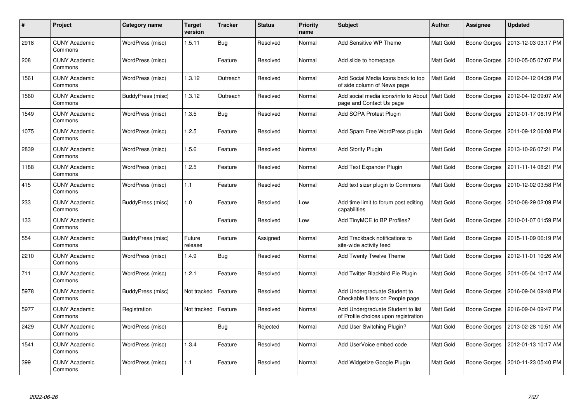| $\#$ | <b>Project</b>                  | Category name     | <b>Target</b><br>version | <b>Tracker</b> | <b>Status</b> | <b>Priority</b><br>name | <b>Subject</b>                                                            | <b>Author</b>    | <b>Assignee</b>     | <b>Updated</b>      |
|------|---------------------------------|-------------------|--------------------------|----------------|---------------|-------------------------|---------------------------------------------------------------------------|------------------|---------------------|---------------------|
| 2918 | <b>CUNY Academic</b><br>Commons | WordPress (misc)  | 1.5.11                   | Bug            | Resolved      | Normal                  | Add Sensitive WP Theme                                                    | Matt Gold        | Boone Gorges        | 2013-12-03 03:17 PM |
| 208  | <b>CUNY Academic</b><br>Commons | WordPress (misc)  |                          | Feature        | Resolved      | Normal                  | Add slide to homepage                                                     | <b>Matt Gold</b> | <b>Boone Gorges</b> | 2010-05-05 07:07 PM |
| 1561 | <b>CUNY Academic</b><br>Commons | WordPress (misc)  | 1.3.12                   | Outreach       | Resolved      | Normal                  | Add Social Media Icons back to top<br>of side column of News page         | Matt Gold        | Boone Gorges        | 2012-04-12 04:39 PM |
| 1560 | <b>CUNY Academic</b><br>Commons | BuddyPress (misc) | 1.3.12                   | Outreach       | Resolved      | Normal                  | Add social media icons/info to About<br>page and Contact Us page          | Matt Gold        | Boone Gorges        | 2012-04-12 09:07 AM |
| 1549 | <b>CUNY Academic</b><br>Commons | WordPress (misc)  | 1.3.5                    | Bug            | Resolved      | Normal                  | Add SOPA Protest Plugin                                                   | <b>Matt Gold</b> | <b>Boone Gorges</b> | 2012-01-17 06:19 PM |
| 1075 | <b>CUNY Academic</b><br>Commons | WordPress (misc)  | 1.2.5                    | Feature        | Resolved      | Normal                  | Add Spam Free WordPress plugin                                            | Matt Gold        | Boone Gorges        | 2011-09-12 06:08 PM |
| 2839 | <b>CUNY Academic</b><br>Commons | WordPress (misc)  | 1.5.6                    | Feature        | Resolved      | Normal                  | <b>Add Storify Plugin</b>                                                 | <b>Matt Gold</b> | <b>Boone Gorges</b> | 2013-10-26 07:21 PM |
| 1188 | <b>CUNY Academic</b><br>Commons | WordPress (misc)  | 1.2.5                    | Feature        | Resolved      | Normal                  | Add Text Expander Plugin                                                  | Matt Gold        | Boone Gorges        | 2011-11-14 08:21 PM |
| 415  | <b>CUNY Academic</b><br>Commons | WordPress (misc)  | 1.1                      | Feature        | Resolved      | Normal                  | Add text sizer plugin to Commons                                          | Matt Gold        | <b>Boone Gorges</b> | 2010-12-02 03:58 PM |
| 233  | <b>CUNY Academic</b><br>Commons | BuddyPress (misc) | 1.0                      | Feature        | Resolved      | Low                     | Add time limit to forum post editing<br>capabilities                      | <b>Matt Gold</b> | Boone Gorges        | 2010-08-29 02:09 PM |
| 133  | <b>CUNY Academic</b><br>Commons |                   |                          | Feature        | Resolved      | Low                     | Add TinyMCE to BP Profiles?                                               | Matt Gold        | Boone Gorges        | 2010-01-07 01:59 PM |
| 554  | <b>CUNY Academic</b><br>Commons | BuddyPress (misc) | Future<br>release        | Feature        | Assigned      | Normal                  | Add Trackback notifications to<br>site-wide activity feed                 | Matt Gold        | Boone Gorges        | 2015-11-09 06:19 PM |
| 2210 | <b>CUNY Academic</b><br>Commons | WordPress (misc)  | 1.4.9                    | <b>Bug</b>     | Resolved      | Normal                  | Add Twenty Twelve Theme                                                   | <b>Matt Gold</b> | Boone Gorges        | 2012-11-01 10:26 AM |
| 711  | <b>CUNY Academic</b><br>Commons | WordPress (misc)  | 1.2.1                    | Feature        | Resolved      | Normal                  | Add Twitter Blackbird Pie Plugin                                          | Matt Gold        | Boone Gorges        | 2011-05-04 10:17 AM |
| 5978 | <b>CUNY Academic</b><br>Commons | BuddyPress (misc) | Not tracked              | Feature        | Resolved      | Normal                  | Add Undergraduate Student to<br>Checkable filters on People page          | Matt Gold        | Boone Gorges        | 2016-09-04 09:48 PM |
| 5977 | <b>CUNY Academic</b><br>Commons | Registration      | Not tracked              | Feature        | Resolved      | Normal                  | Add Undergraduate Student to list<br>of Profile choices upon registration | Matt Gold        | Boone Gorges        | 2016-09-04 09:47 PM |
| 2429 | <b>CUNY Academic</b><br>Commons | WordPress (misc)  |                          | Bug            | Rejected      | Normal                  | Add User Switching Plugin?                                                | Matt Gold        | Boone Gorges        | 2013-02-28 10:51 AM |
| 1541 | <b>CUNY Academic</b><br>Commons | WordPress (misc)  | 1.3.4                    | Feature        | Resolved      | Normal                  | Add UserVoice embed code                                                  | Matt Gold        | Boone Gorges        | 2012-01-13 10:17 AM |
| 399  | <b>CUNY Academic</b><br>Commons | WordPress (misc)  | 1.1                      | Feature        | Resolved      | Normal                  | Add Widgetize Google Plugin                                               | Matt Gold        | Boone Gorges        | 2010-11-23 05:40 PM |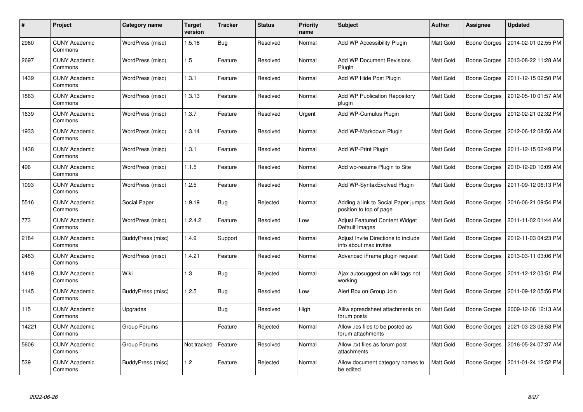| $\#$  | <b>Project</b>                  | Category name     | <b>Target</b><br>version | <b>Tracker</b> | <b>Status</b> | <b>Priority</b><br>name | <b>Subject</b>                                                 | <b>Author</b>    | <b>Assignee</b>     | <b>Updated</b>      |
|-------|---------------------------------|-------------------|--------------------------|----------------|---------------|-------------------------|----------------------------------------------------------------|------------------|---------------------|---------------------|
| 2960  | <b>CUNY Academic</b><br>Commons | WordPress (misc)  | 1.5.16                   | Bug            | Resolved      | Normal                  | Add WP Accessibility Plugin                                    | Matt Gold        | Boone Gorges        | 2014-02-01 02:55 PM |
| 2697  | <b>CUNY Academic</b><br>Commons | WordPress (misc)  | 1.5                      | Feature        | Resolved      | Normal                  | <b>Add WP Document Revisions</b><br>Plugin                     | Matt Gold        | <b>Boone Gorges</b> | 2013-08-22 11:28 AM |
| 1439  | <b>CUNY Academic</b><br>Commons | WordPress (misc)  | 1.3.1                    | Feature        | Resolved      | Normal                  | Add WP Hide Post Plugin                                        | Matt Gold        | Boone Gorges        | 2011-12-15 02:50 PM |
| 1863  | <b>CUNY Academic</b><br>Commons | WordPress (misc)  | 1.3.13                   | Feature        | Resolved      | Normal                  | Add WP Publication Repository<br>plugin                        | Matt Gold        | Boone Gorges        | 2012-05-10 01:57 AM |
| 1639  | <b>CUNY Academic</b><br>Commons | WordPress (misc)  | 1.3.7                    | Feature        | Resolved      | Urgent                  | Add WP-Cumulus Plugin                                          | <b>Matt Gold</b> | Boone Gorges        | 2012-02-21 02:32 PM |
| 1933  | <b>CUNY Academic</b><br>Commons | WordPress (misc)  | 1.3.14                   | Feature        | Resolved      | Normal                  | Add WP-Markdown Plugin                                         | Matt Gold        | Boone Gorges        | 2012-06-12 08:56 AM |
| 1438  | <b>CUNY Academic</b><br>Commons | WordPress (misc)  | 1.3.1                    | Feature        | Resolved      | Normal                  | Add WP-Print Plugin                                            | <b>Matt Gold</b> | Boone Gorges        | 2011-12-15 02:49 PM |
| 496   | <b>CUNY Academic</b><br>Commons | WordPress (misc)  | 1.1.5                    | Feature        | Resolved      | Normal                  | Add wp-resume Plugin to Site                                   | Matt Gold        | Boone Gorges        | 2010-12-20 10:09 AM |
| 1093  | <b>CUNY Academic</b><br>Commons | WordPress (misc)  | 1.2.5                    | Feature        | Resolved      | Normal                  | Add WP-SyntaxEvolved Plugin                                    | Matt Gold        | Boone Gorges        | 2011-09-12 06:13 PM |
| 5516  | <b>CUNY Academic</b><br>Commons | Social Paper      | 1.9.19                   | <b>Bug</b>     | Rejected      | Normal                  | Adding a link to Social Paper jumps<br>position to top of page | Matt Gold        | Boone Gorges        | 2016-06-21 09:54 PM |
| 773   | <b>CUNY Academic</b><br>Commons | WordPress (misc)  | 1.2.4.2                  | Feature        | Resolved      | Low                     | <b>Adjust Featured Content Widget</b><br>Default Images        | Matt Gold        | Boone Gorges        | 2011-11-02 01:44 AM |
| 2184  | <b>CUNY Academic</b><br>Commons | BuddyPress (misc) | 1.4.9                    | Support        | Resolved      | Normal                  | Adjust Invite Directions to include<br>info about max invites  | Matt Gold        | Boone Gorges        | 2012-11-03 04:23 PM |
| 2483  | <b>CUNY Academic</b><br>Commons | WordPress (misc)  | 1.4.21                   | Feature        | Resolved      | Normal                  | Advanced iFrame plugin request                                 | Matt Gold        | <b>Boone Gorges</b> | 2013-03-11 03:06 PM |
| 1419  | <b>CUNY Academic</b><br>Commons | Wiki              | 1.3                      | <b>Bug</b>     | Rejected      | Normal                  | Ajax autosuggest on wiki tags not<br>working                   | Matt Gold        | Boone Gorges        | 2011-12-12 03:51 PM |
| 1145  | <b>CUNY Academic</b><br>Commons | BuddyPress (misc) | 1.2.5                    | <b>Bug</b>     | Resolved      | Low                     | Alert Box on Group Join                                        | Matt Gold        | Boone Gorges        | 2011-09-12 05:56 PM |
| 115   | <b>CUNY Academic</b><br>Commons | Upgrades          |                          | <b>Bug</b>     | Resolved      | High                    | Alliw spreadsheet attachments on<br>forum posts                | Matt Gold        | Boone Gorges        | 2009-12-06 12:13 AM |
| 14221 | <b>CUNY Academic</b><br>Commons | Group Forums      |                          | Feature        | Rejected      | Normal                  | Allow .ics files to be posted as<br>forum attachments          | Matt Gold        | Boone Gorges        | 2021-03-23 08:53 PM |
| 5606  | <b>CUNY Academic</b><br>Commons | Group Forums      | Not tracked              | Feature        | Resolved      | Normal                  | Allow .txt files as forum post<br>attachments                  | Matt Gold        | Boone Gorges        | 2016-05-24 07:37 AM |
| 539   | <b>CUNY Academic</b><br>Commons | BuddyPress (misc) | 1.2                      | Feature        | Rejected      | Normal                  | Allow document category names to<br>be edited                  | Matt Gold        | Boone Gorges        | 2011-01-24 12:52 PM |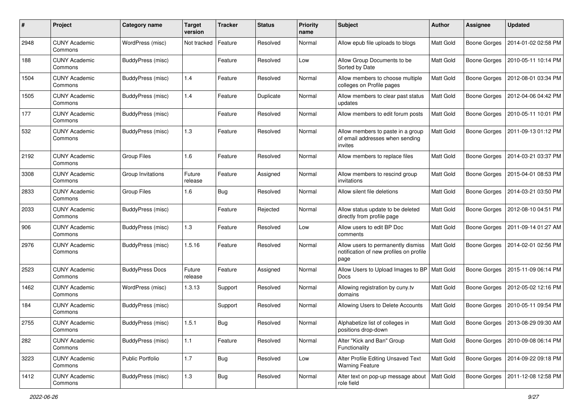| #    | Project                         | Category name          | <b>Target</b><br>version | <b>Tracker</b> | <b>Status</b> | <b>Priority</b><br>name | <b>Subject</b>                                                                        | <b>Author</b>    | <b>Assignee</b>     | <b>Updated</b>      |
|------|---------------------------------|------------------------|--------------------------|----------------|---------------|-------------------------|---------------------------------------------------------------------------------------|------------------|---------------------|---------------------|
| 2948 | <b>CUNY Academic</b><br>Commons | WordPress (misc)       | Not tracked              | Feature        | Resolved      | Normal                  | Allow epub file uploads to blogs                                                      | Matt Gold        | <b>Boone Gorges</b> | 2014-01-02 02:58 PM |
| 188  | <b>CUNY Academic</b><br>Commons | BuddyPress (misc)      |                          | Feature        | Resolved      | Low                     | Allow Group Documents to be<br>Sorted by Date                                         | Matt Gold        | <b>Boone Gorges</b> | 2010-05-11 10:14 PM |
| 1504 | <b>CUNY Academic</b><br>Commons | BuddyPress (misc)      | 1.4                      | Feature        | Resolved      | Normal                  | Allow members to choose multiple<br>colleges on Profile pages                         | Matt Gold        | Boone Gorges        | 2012-08-01 03:34 PM |
| 1505 | <b>CUNY Academic</b><br>Commons | BuddyPress (misc)      | 1.4                      | Feature        | Duplicate     | Normal                  | Allow members to clear past status<br>updates                                         | Matt Gold        | <b>Boone Gorges</b> | 2012-04-06 04:42 PM |
| 177  | <b>CUNY Academic</b><br>Commons | BuddyPress (misc)      |                          | Feature        | Resolved      | Normal                  | Allow members to edit forum posts                                                     | <b>Matt Gold</b> | <b>Boone Gorges</b> | 2010-05-11 10:01 PM |
| 532  | <b>CUNY Academic</b><br>Commons | BuddyPress (misc)      | 1.3                      | Feature        | Resolved      | Normal                  | Allow members to paste in a group<br>of email addresses when sending<br>invites       | Matt Gold        | Boone Gorges        | 2011-09-13 01:12 PM |
| 2192 | <b>CUNY Academic</b><br>Commons | Group Files            | 1.6                      | Feature        | Resolved      | Normal                  | Allow members to replace files                                                        | Matt Gold        | <b>Boone Gorges</b> | 2014-03-21 03:37 PM |
| 3308 | <b>CUNY Academic</b><br>Commons | Group Invitations      | Future<br>release        | Feature        | Assigned      | Normal                  | Allow members to rescind group<br>invitations                                         | Matt Gold        | <b>Boone Gorges</b> | 2015-04-01 08:53 PM |
| 2833 | <b>CUNY Academic</b><br>Commons | Group Files            | 1.6                      | Bug            | Resolved      | Normal                  | Allow silent file deletions                                                           | Matt Gold        | <b>Boone Gorges</b> | 2014-03-21 03:50 PM |
| 2033 | <b>CUNY Academic</b><br>Commons | BuddyPress (misc)      |                          | Feature        | Rejected      | Normal                  | Allow status update to be deleted<br>directly from profile page                       | <b>Matt Gold</b> | Boone Gorges        | 2012-08-10 04:51 PM |
| 906  | <b>CUNY Academic</b><br>Commons | BuddyPress (misc)      | 1.3                      | Feature        | Resolved      | Low                     | Allow users to edit BP Doc<br>comments                                                | Matt Gold        | <b>Boone Gorges</b> | 2011-09-14 01:27 AM |
| 2976 | <b>CUNY Academic</b><br>Commons | BuddyPress (misc)      | 1.5.16                   | Feature        | Resolved      | Normal                  | Allow users to permanently dismiss<br>notification of new profiles on profile<br>page | <b>Matt Gold</b> | <b>Boone Gorges</b> | 2014-02-01 02:56 PM |
| 2523 | <b>CUNY Academic</b><br>Commons | <b>BuddyPress Docs</b> | Future<br>release        | Feature        | Assigned      | Normal                  | Allow Users to Upload Images to BP<br>Docs                                            | <b>Matt Gold</b> | <b>Boone Gorges</b> | 2015-11-09 06:14 PM |
| 1462 | <b>CUNY Academic</b><br>Commons | WordPress (misc)       | 1.3.13                   | Support        | Resolved      | Normal                  | Allowing registration by cuny.tv<br>domains                                           | Matt Gold        | <b>Boone Gorges</b> | 2012-05-02 12:16 PM |
| 184  | <b>CUNY Academic</b><br>Commons | BuddyPress (misc)      |                          | Support        | Resolved      | Normal                  | Allowing Users to Delete Accounts                                                     | Matt Gold        | <b>Boone Gorges</b> | 2010-05-11 09:54 PM |
| 2755 | <b>CUNY Academic</b><br>Commons | BuddyPress (misc)      | 1.5.1                    | <b>Bug</b>     | Resolved      | Normal                  | Alphabetize list of colleges in<br>positions drop-down                                | Matt Gold        | Boone Gorges        | 2013-08-29 09:30 AM |
| 282  | <b>CUNY Academic</b><br>Commons | BuddyPress (misc)      | 1.1                      | Feature        | Resolved      | Normal                  | Alter "Kick and Ban" Group<br>Functionality                                           | Matt Gold        | Boone Gorges        | 2010-09-08 06:14 PM |
| 3223 | <b>CUNY Academic</b><br>Commons | Public Portfolio       | 1.7                      | <b>Bug</b>     | Resolved      | Low                     | Alter Profile Editing Unsaved Text<br><b>Warning Feature</b>                          | Matt Gold        | <b>Boone Gorges</b> | 2014-09-22 09:18 PM |
| 1412 | <b>CUNY Academic</b><br>Commons | BuddyPress (misc)      | $1.3$                    | Bug            | Resolved      | Normal                  | Alter text on pop-up message about<br>role field                                      | Matt Gold        | <b>Boone Gorges</b> | 2011-12-08 12:58 PM |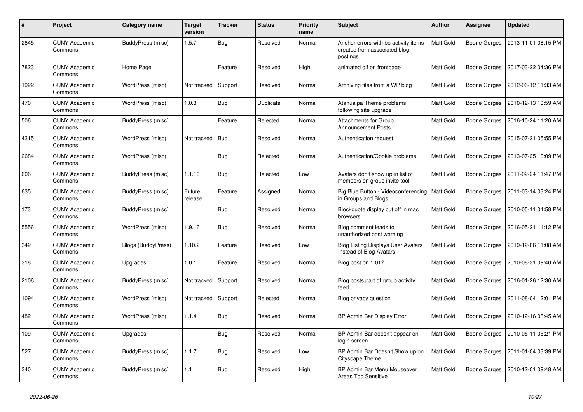| $\#$ | Project                         | Category name      | <b>Target</b><br>version | <b>Tracker</b> | <b>Status</b> | <b>Priority</b><br>name | <b>Subject</b>                                                                   | <b>Author</b>    | Assignee     | <b>Updated</b>      |
|------|---------------------------------|--------------------|--------------------------|----------------|---------------|-------------------------|----------------------------------------------------------------------------------|------------------|--------------|---------------------|
| 2845 | <b>CUNY Academic</b><br>Commons | BuddyPress (misc)  | 1.5.7                    | Bug            | Resolved      | Normal                  | Anchor errors with bp activity items<br>created from associated blog<br>postings | <b>Matt Gold</b> | Boone Gorges | 2013-11-01 08:15 PM |
| 7823 | <b>CUNY Academic</b><br>Commons | Home Page          |                          | Feature        | Resolved      | High                    | animated gif on frontpage                                                        | <b>Matt Gold</b> | Boone Gorges | 2017-03-22 04:36 PM |
| 1922 | <b>CUNY Academic</b><br>Commons | WordPress (misc)   | Not tracked              | Support        | Resolved      | Normal                  | Archiving files from a WP blog                                                   | Matt Gold        | Boone Gorges | 2012-06-12 11:33 AM |
| 470  | <b>CUNY Academic</b><br>Commons | WordPress (misc)   | 1.0.3                    | <b>Bug</b>     | Duplicate     | Normal                  | Atahualpa Theme problems<br>following site upgrade                               | Matt Gold        | Boone Gorges | 2010-12-13 10:59 AM |
| 506  | <b>CUNY Academic</b><br>Commons | BuddyPress (misc)  |                          | Feature        | Rejected      | Normal                  | Attachments for Group<br><b>Announcement Posts</b>                               | Matt Gold        | Boone Gorges | 2016-10-24 11:20 AM |
| 4315 | <b>CUNY Academic</b><br>Commons | WordPress (misc)   | Not tracked              | <b>Bug</b>     | Resolved      | Normal                  | Authentication request                                                           | Matt Gold        | Boone Gorges | 2015-07-21 05:55 PM |
| 2684 | <b>CUNY Academic</b><br>Commons | WordPress (misc)   |                          | Bug            | Rejected      | Normal                  | Authentication/Cookie problems                                                   | Matt Gold        | Boone Gorges | 2013-07-25 10:09 PM |
| 606  | <b>CUNY Academic</b><br>Commons | BuddyPress (misc)  | 1.1.10                   | <b>Bug</b>     | Rejected      | Low                     | Avatars don't show up in list of<br>members on group invite tool                 | Matt Gold        | Boone Gorges | 2011-02-24 11:47 PM |
| 635  | <b>CUNY Academic</b><br>Commons | BuddyPress (misc)  | Future<br>release        | Feature        | Assigned      | Normal                  | Big Blue Button - Videoconferencing<br>in Groups and Blogs                       | <b>Matt Gold</b> | Boone Gorges | 2011-03-14 03:24 PM |
| 173  | <b>CUNY Academic</b><br>Commons | BuddyPress (misc)  |                          | <b>Bug</b>     | Resolved      | Normal                  | Blockquote display cut off in mac<br>browsers                                    | Matt Gold        | Boone Gorges | 2010-05-11 04:58 PM |
| 5556 | <b>CUNY Academic</b><br>Commons | WordPress (misc)   | 1.9.16                   | <b>Bug</b>     | Resolved      | Normal                  | Blog comment leads to<br>unauthorized post warning                               | Matt Gold        | Boone Gorges | 2016-05-21 11:12 PM |
| 342  | <b>CUNY Academic</b><br>Commons | Blogs (BuddyPress) | 1.10.2                   | Feature        | Resolved      | Low                     | <b>Blog Listing Displays User Avatars</b><br>Instead of Blog Avatars             | <b>Matt Gold</b> | Boone Gorges | 2019-12-06 11:08 AM |
| 318  | <b>CUNY Academic</b><br>Commons | Upgrades           | 1.0.1                    | Feature        | Resolved      | Normal                  | Blog post on 1.01?                                                               | Matt Gold        | Boone Gorges | 2010-08-31 09:40 AM |
| 2106 | <b>CUNY Academic</b><br>Commons | BuddyPress (misc)  | Not tracked              | Support        | Resolved      | Normal                  | Blog posts part of group activity<br>feed                                        | Matt Gold        | Boone Gorges | 2016-01-26 12:30 AM |
| 1094 | <b>CUNY Academic</b><br>Commons | WordPress (misc)   | Not tracked              | Support        | Rejected      | Normal                  | Blog privacy question                                                            | Matt Gold        | Boone Gorges | 2011-08-04 12:01 PM |
| 482  | <b>CUNY Academic</b><br>Commons | WordPress (misc)   | 1.1.4                    | <b>Bug</b>     | Resolved      | Normal                  | BP Admin Bar Display Error                                                       | Matt Gold        | Boone Gorges | 2010-12-16 08:45 AM |
| 109  | <b>CUNY Academic</b><br>Commons | Upgrades           |                          | <b>Bug</b>     | Resolved      | Normal                  | BP Admin Bar doesn't appear on<br>login screen                                   | Matt Gold        | Boone Gorges | 2010-05-11 05:21 PM |
| 527  | <b>CUNY Academic</b><br>Commons | BuddyPress (misc)  | 1.1.7                    | <b>Bug</b>     | Resolved      | Low                     | BP Admin Bar Doesn't Show up on<br><b>Cityscape Theme</b>                        | Matt Gold        | Boone Gorges | 2011-01-04 03:39 PM |
| 340  | <b>CUNY Academic</b><br>Commons | BuddyPress (misc)  | 1.1                      | <b>Bug</b>     | Resolved      | High                    | BP Admin Bar Menu Mouseover<br>Areas Too Sensitive                               | Matt Gold        | Boone Gorges | 2010-12-01 09:48 AM |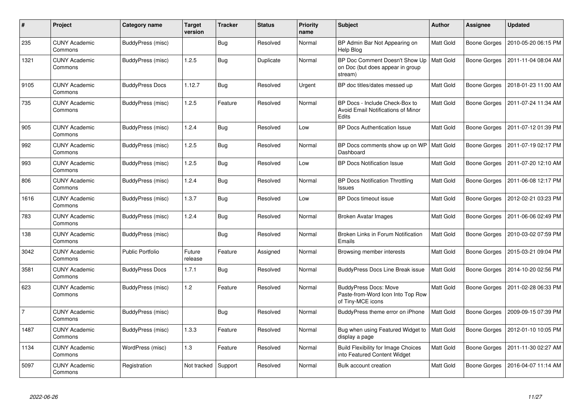| $\#$           | <b>Project</b>                  | Category name           | <b>Target</b><br>version | <b>Tracker</b> | <b>Status</b> | <b>Priority</b><br>name | <b>Subject</b>                                                                         | <b>Author</b>    | <b>Assignee</b>     | <b>Updated</b>      |
|----------------|---------------------------------|-------------------------|--------------------------|----------------|---------------|-------------------------|----------------------------------------------------------------------------------------|------------------|---------------------|---------------------|
| 235            | <b>CUNY Academic</b><br>Commons | BuddyPress (misc)       |                          | <b>Bug</b>     | Resolved      | Normal                  | BP Admin Bar Not Appearing on<br>Help Blog                                             | Matt Gold        | Boone Gorges        | 2010-05-20 06:15 PM |
| 1321           | <b>CUNY Academic</b><br>Commons | BuddyPress (misc)       | 1.2.5                    | <b>Bug</b>     | Duplicate     | Normal                  | BP Doc Comment Doesn't Show Up<br>on Doc (but does appear in group<br>stream)          | Matt Gold        | <b>Boone Gorges</b> | 2011-11-04 08:04 AM |
| 9105           | <b>CUNY Academic</b><br>Commons | <b>BuddyPress Docs</b>  | 1.12.7                   | Bug            | Resolved      | Urgent                  | BP doc titles/dates messed up                                                          | <b>Matt Gold</b> | Boone Gorges        | 2018-01-23 11:00 AM |
| 735            | <b>CUNY Academic</b><br>Commons | BuddyPress (misc)       | 1.2.5                    | Feature        | Resolved      | Normal                  | BP Docs - Include Check-Box to<br>Avoid Email Notifications of Minor<br>Edits          | Matt Gold        | Boone Gorges        | 2011-07-24 11:34 AM |
| 905            | <b>CUNY Academic</b><br>Commons | BuddyPress (misc)       | 1.2.4                    | <b>Bug</b>     | Resolved      | Low                     | <b>BP Docs Authentication Issue</b>                                                    | Matt Gold        | Boone Gorges        | 2011-07-12 01:39 PM |
| 992            | <b>CUNY Academic</b><br>Commons | BuddyPress (misc)       | 1.2.5                    | <b>Bug</b>     | Resolved      | Normal                  | BP Docs comments show up on WP<br>Dashboard                                            | Matt Gold        | <b>Boone Gorges</b> | 2011-07-19 02:17 PM |
| 993            | <b>CUNY Academic</b><br>Commons | BuddyPress (misc)       | 1.2.5                    | <b>Bug</b>     | Resolved      | Low                     | <b>BP Docs Notification Issue</b>                                                      | Matt Gold        | Boone Gorges        | 2011-07-20 12:10 AM |
| 806            | <b>CUNY Academic</b><br>Commons | BuddyPress (misc)       | 1.2.4                    | Bug            | Resolved      | Normal                  | <b>BP Docs Notification Throttling</b><br>Issues                                       | Matt Gold        | <b>Boone Gorges</b> | 2011-06-08 12:17 PM |
| 1616           | <b>CUNY Academic</b><br>Commons | BuddyPress (misc)       | 1.3.7                    | Bug            | Resolved      | Low                     | BP Docs timeout issue                                                                  | Matt Gold        | Boone Gorges        | 2012-02-21 03:23 PM |
| 783            | <b>CUNY Academic</b><br>Commons | BuddyPress (misc)       | 1.2.4                    | <b>Bug</b>     | Resolved      | Normal                  | Broken Avatar Images                                                                   | Matt Gold        | Boone Gorges        | 2011-06-06 02:49 PM |
| 138            | <b>CUNY Academic</b><br>Commons | BuddyPress (misc)       |                          | <b>Bug</b>     | Resolved      | Normal                  | Broken Links in Forum Notification<br>Emails                                           | Matt Gold        | Boone Gorges        | 2010-03-02 07:59 PM |
| 3042           | <b>CUNY Academic</b><br>Commons | <b>Public Portfolio</b> | Future<br>release        | Feature        | Assigned      | Normal                  | Browsing member interests                                                              | Matt Gold        | Boone Gorges        | 2015-03-21 09:04 PM |
| 3581           | <b>CUNY Academic</b><br>Commons | <b>BuddyPress Docs</b>  | 1.7.1                    | <b>Bug</b>     | Resolved      | Normal                  | <b>BuddyPress Docs Line Break issue</b>                                                | <b>Matt Gold</b> | Boone Gorges        | 2014-10-20 02:56 PM |
| 623            | <b>CUNY Academic</b><br>Commons | BuddyPress (misc)       | 1.2                      | Feature        | Resolved      | Normal                  | <b>BuddyPress Docs: Move</b><br>Paste-from-Word Icon Into Top Row<br>of Tiny-MCE icons | Matt Gold        | Boone Gorges        | 2011-02-28 06:33 PM |
| $\overline{7}$ | <b>CUNY Academic</b><br>Commons | BuddyPress (misc)       |                          | <b>Bug</b>     | Resolved      | Normal                  | BuddyPress theme error on iPhone                                                       | <b>Matt Gold</b> | <b>Boone Gorges</b> | 2009-09-15 07:39 PM |
| 1487           | <b>CUNY Academic</b><br>Commons | BuddyPress (misc)       | 1.3.3                    | Feature        | Resolved      | Normal                  | Bug when using Featured Widget to<br>display a page                                    | Matt Gold        | Boone Gorges        | 2012-01-10 10:05 PM |
| 1134           | <b>CUNY Academic</b><br>Commons | WordPress (misc)        | 1.3                      | Feature        | Resolved      | Normal                  | <b>Build Flexibility for Image Choices</b><br>into Featured Content Widget             | Matt Gold        | Boone Gorges        | 2011-11-30 02:27 AM |
| 5097           | <b>CUNY Academic</b><br>Commons | Registration            | Not tracked              | Support        | Resolved      | Normal                  | Bulk account creation                                                                  | Matt Gold        | Boone Gorges        | 2016-04-07 11:14 AM |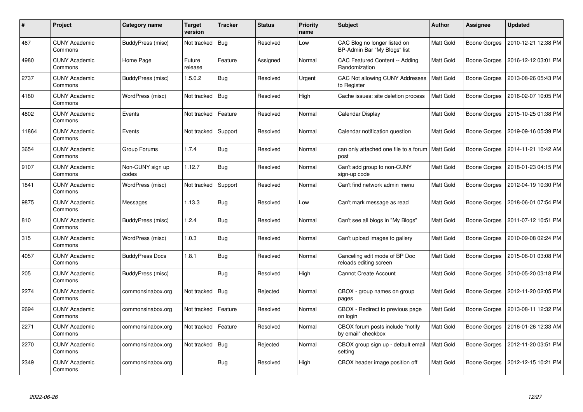| #     | <b>Project</b>                  | Category name             | <b>Target</b><br>version | <b>Tracker</b> | <b>Status</b> | <b>Priority</b><br>name | <b>Subject</b>                                               | Author    | Assignee            | <b>Updated</b>      |
|-------|---------------------------------|---------------------------|--------------------------|----------------|---------------|-------------------------|--------------------------------------------------------------|-----------|---------------------|---------------------|
| 467   | <b>CUNY Academic</b><br>Commons | BuddyPress (misc)         | Not tracked              | Bug            | Resolved      | Low                     | CAC Blog no longer listed on<br>BP-Admin Bar "My Blogs" list | Matt Gold | <b>Boone Gorges</b> | 2010-12-21 12:38 PM |
| 4980  | <b>CUNY Academic</b><br>Commons | Home Page                 | Future<br>release        | Feature        | Assigned      | Normal                  | CAC Featured Content -- Adding<br>Randomization              | Matt Gold | Boone Gorges        | 2016-12-12 03:01 PM |
| 2737  | <b>CUNY Academic</b><br>Commons | BuddyPress (misc)         | 1.5.0.2                  | <b>Bug</b>     | Resolved      | Urgent                  | CAC Not allowing CUNY Addresses<br>to Register               | Matt Gold | Boone Gorges        | 2013-08-26 05:43 PM |
| 4180  | <b>CUNY Academic</b><br>Commons | WordPress (misc)          | Not tracked              | Bug            | Resolved      | High                    | Cache issues: site deletion process                          | Matt Gold | Boone Gorges        | 2016-02-07 10:05 PM |
| 4802  | <b>CUNY Academic</b><br>Commons | Events                    | Not tracked              | Feature        | Resolved      | Normal                  | Calendar Display                                             | Matt Gold | Boone Gorges        | 2015-10-25 01:38 PM |
| 11864 | <b>CUNY Academic</b><br>Commons | Events                    | Not tracked              | Support        | Resolved      | Normal                  | Calendar notification question                               | Matt Gold | <b>Boone Gorges</b> | 2019-09-16 05:39 PM |
| 3654  | <b>CUNY Academic</b><br>Commons | Group Forums              | 1.7.4                    | <b>Bug</b>     | Resolved      | Normal                  | can only attached one file to a forum<br>post                | Matt Gold | <b>Boone Gorges</b> | 2014-11-21 10:42 AM |
| 9107  | <b>CUNY Academic</b><br>Commons | Non-CUNY sign up<br>codes | 1.12.7                   | Bug            | Resolved      | Normal                  | Can't add group to non-CUNY<br>sign-up code                  | Matt Gold | Boone Gorges        | 2018-01-23 04:15 PM |
| 1841  | <b>CUNY Academic</b><br>Commons | WordPress (misc)          | Not tracked              | Support        | Resolved      | Normal                  | Can't find network admin menu                                | Matt Gold | Boone Gorges        | 2012-04-19 10:30 PM |
| 9875  | <b>CUNY Academic</b><br>Commons | Messages                  | 1.13.3                   | <b>Bug</b>     | Resolved      | Low                     | Can't mark message as read                                   | Matt Gold | Boone Gorges        | 2018-06-01 07:54 PM |
| 810   | <b>CUNY Academic</b><br>Commons | BuddyPress (misc)         | 1.2.4                    | Bug            | Resolved      | Normal                  | Can't see all blogs in "My Blogs"                            | Matt Gold | Boone Gorges        | 2011-07-12 10:51 PM |
| 315   | <b>CUNY Academic</b><br>Commons | WordPress (misc)          | 1.0.3                    | Bug            | Resolved      | Normal                  | Can't upload images to gallery                               | Matt Gold | Boone Gorges        | 2010-09-08 02:24 PM |
| 4057  | <b>CUNY Academic</b><br>Commons | <b>BuddyPress Docs</b>    | 1.8.1                    | <b>Bug</b>     | Resolved      | Normal                  | Canceling edit mode of BP Doc<br>reloads editing screen      | Matt Gold | Boone Gorges        | 2015-06-01 03:08 PM |
| 205   | <b>CUNY Academic</b><br>Commons | BuddyPress (misc)         |                          | Bug            | Resolved      | High                    | <b>Cannot Create Account</b>                                 | Matt Gold | Boone Gorges        | 2010-05-20 03:18 PM |
| 2274  | <b>CUNY Academic</b><br>Commons | commonsinabox.org         | Not tracked              | Bug            | Rejected      | Normal                  | CBOX - group names on group<br>pages                         | Matt Gold | Boone Gorges        | 2012-11-20 02:05 PM |
| 2694  | <b>CUNY Academic</b><br>Commons | commonsinabox.org         | Not tracked              | Feature        | Resolved      | Normal                  | CBOX - Redirect to previous page<br>on login                 | Matt Gold | Boone Gorges        | 2013-08-11 12:32 PM |
| 2271  | <b>CUNY Academic</b><br>Commons | commonsinabox.org         | Not tracked              | Feature        | Resolved      | Normal                  | CBOX forum posts include "notify<br>by email" checkbox       | Matt Gold | Boone Gorges        | 2016-01-26 12:33 AM |
| 2270  | <b>CUNY Academic</b><br>Commons | commonsinabox.org         | Not tracked              | Bug            | Rejected      | Normal                  | CBOX group sign up - default email<br>setting                | Matt Gold | Boone Gorges        | 2012-11-20 03:51 PM |
| 2349  | <b>CUNY Academic</b><br>Commons | commonsinabox.org         |                          | <b>Bug</b>     | Resolved      | High                    | CBOX header image position off                               | Matt Gold | Boone Gorges        | 2012-12-15 10:21 PM |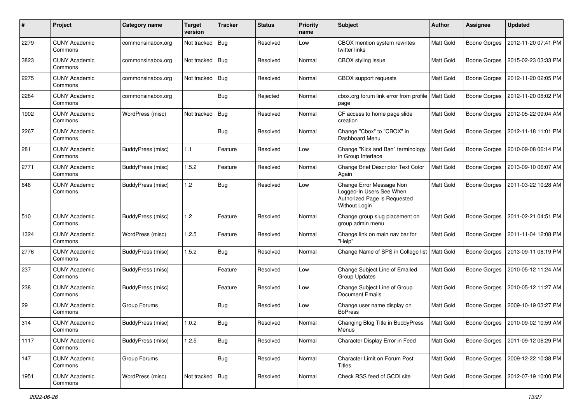| $\#$ | Project                         | <b>Category name</b> | <b>Target</b><br>version | <b>Tracker</b> | <b>Status</b> | <b>Priority</b><br>name | Subject                                                                                               | <b>Author</b>    | <b>Assignee</b>     | <b>Updated</b>      |
|------|---------------------------------|----------------------|--------------------------|----------------|---------------|-------------------------|-------------------------------------------------------------------------------------------------------|------------------|---------------------|---------------------|
| 2279 | <b>CUNY Academic</b><br>Commons | commonsinabox.org    | Not tracked              | i Bug          | Resolved      | Low                     | CBOX mention system rewrites<br>twitter links                                                         | Matt Gold        | <b>Boone Gorges</b> | 2012-11-20 07:41 PM |
| 3823 | <b>CUNY Academic</b><br>Commons | commonsinabox.org    | Not tracked              | Bug            | Resolved      | Normal                  | <b>CBOX</b> styling issue                                                                             | Matt Gold        | <b>Boone Gorges</b> | 2015-02-23 03:33 PM |
| 2275 | <b>CUNY Academic</b><br>Commons | commonsinabox.org    | Not tracked              | Bug            | Resolved      | Normal                  | CBOX support requests                                                                                 | Matt Gold        | <b>Boone Gorges</b> | 2012-11-20 02:05 PM |
| 2284 | <b>CUNY Academic</b><br>Commons | commonsinabox.org    |                          | <b>Bug</b>     | Rejected      | Normal                  | cbox.org forum link error from profile<br>page                                                        | <b>Matt Gold</b> | <b>Boone Gorges</b> | 2012-11-20 08:02 PM |
| 1902 | <b>CUNY Academic</b><br>Commons | WordPress (misc)     | Not tracked              | Bug            | Resolved      | Normal                  | CF access to home page slide<br>creation                                                              | <b>Matt Gold</b> | <b>Boone Gorges</b> | 2012-05-22 09:04 AM |
| 2267 | <b>CUNY Academic</b><br>Commons |                      |                          | <b>Bug</b>     | Resolved      | Normal                  | Change "Cbox" to "CBOX" in<br>Dashboard Menu                                                          | Matt Gold        | <b>Boone Gorges</b> | 2012-11-18 11:01 PM |
| 281  | <b>CUNY Academic</b><br>Commons | BuddyPress (misc)    | 1.1                      | Feature        | Resolved      | Low                     | Change "Kick and Ban" terminology<br>in Group Interface                                               | Matt Gold        | <b>Boone Gorges</b> | 2010-09-08 06:14 PM |
| 2771 | <b>CUNY Academic</b><br>Commons | BuddyPress (misc)    | 1.5.2                    | Feature        | Resolved      | Normal                  | Change Brief Descriptor Text Color<br>Again                                                           | Matt Gold        | <b>Boone Gorges</b> | 2013-09-10 06:07 AM |
| 646  | <b>CUNY Academic</b><br>Commons | BuddyPress (misc)    | 1.2                      | Bug            | Resolved      | Low                     | Change Error Message Non<br>Logged-In Users See When<br>Authorized Page is Requested<br>Without Login | Matt Gold        | <b>Boone Gorges</b> | 2011-03-22 10:28 AM |
| 510  | <b>CUNY Academic</b><br>Commons | BuddyPress (misc)    | 1.2                      | Feature        | Resolved      | Normal                  | Change group slug placement on<br>group admin menu                                                    | <b>Matt Gold</b> | Boone Gorges        | 2011-02-21 04:51 PM |
| 1324 | <b>CUNY Academic</b><br>Commons | WordPress (misc)     | 1.2.5                    | Feature        | Resolved      | Normal                  | Change link on main nav bar for<br>"Help"                                                             | Matt Gold        | <b>Boone Gorges</b> | 2011-11-04 12:08 PM |
| 2776 | <b>CUNY Academic</b><br>Commons | BuddyPress (misc)    | 1.5.2                    | <b>Bug</b>     | Resolved      | Normal                  | Change Name of SPS in College list                                                                    | <b>Matt Gold</b> | <b>Boone Gorges</b> | 2013-09-11 08:19 PM |
| 237  | <b>CUNY Academic</b><br>Commons | BuddyPress (misc)    |                          | Feature        | Resolved      | Low                     | Change Subject Line of Emailed<br><b>Group Updates</b>                                                | Matt Gold        | <b>Boone Gorges</b> | 2010-05-12 11:24 AM |
| 238  | <b>CUNY Academic</b><br>Commons | BuddyPress (misc)    |                          | Feature        | Resolved      | Low                     | Change Subject Line of Group<br><b>Document Emails</b>                                                | Matt Gold        | <b>Boone Gorges</b> | 2010-05-12 11:27 AM |
| 29   | <b>CUNY Academic</b><br>Commons | Group Forums         |                          | <b>Bug</b>     | Resolved      | Low                     | Change user name display on<br><b>BbPress</b>                                                         | Matt Gold        | <b>Boone Gorges</b> | 2009-10-19 03:27 PM |
| 314  | <b>CUNY Academic</b><br>Commons | BuddyPress (misc)    | 1.0.2                    | Bug            | Resolved      | Normal                  | Changing Blog Title in BuddyPress<br>Menus                                                            | Matt Gold        | Boone Gorges        | 2010-09-02 10:59 AM |
| 1117 | <b>CUNY Academic</b><br>Commons | BuddyPress (misc)    | 1.2.5                    | Bug            | Resolved      | Normal                  | Character Display Error in Feed                                                                       | Matt Gold        | <b>Boone Gorges</b> | 2011-09-12 06:29 PM |
| 147  | <b>CUNY Academic</b><br>Commons | Group Forums         |                          | <b>Bug</b>     | Resolved      | Normal                  | Character Limit on Forum Post<br>Titles                                                               | Matt Gold        | <b>Boone Gorges</b> | 2009-12-22 10:38 PM |
| 1951 | <b>CUNY Academic</b><br>Commons | WordPress (misc)     | Not tracked   Bug        |                | Resolved      | Normal                  | Check RSS feed of GCDI site                                                                           | Matt Gold        | Boone Gorges        | 2012-07-19 10:00 PM |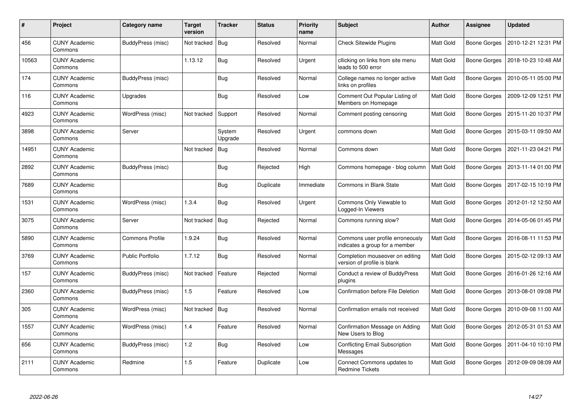| #     | <b>Project</b>                  | Category name           | Target<br>version | <b>Tracker</b>    | <b>Status</b> | <b>Priority</b><br>name | Subject                                                            | <b>Author</b>    | Assignee     | <b>Updated</b>      |
|-------|---------------------------------|-------------------------|-------------------|-------------------|---------------|-------------------------|--------------------------------------------------------------------|------------------|--------------|---------------------|
| 456   | <b>CUNY Academic</b><br>Commons | BuddyPress (misc)       | Not tracked       | Bug               | Resolved      | Normal                  | <b>Check Sitewide Plugins</b>                                      | Matt Gold        | Boone Gorges | 2010-12-21 12:31 PM |
| 10563 | <b>CUNY Academic</b><br>Commons |                         | 1.13.12           | Bug               | Resolved      | Urgent                  | cllicking on links from site menu<br>leads to 500 error            | Matt Gold        | Boone Gorges | 2018-10-23 10:48 AM |
| 174   | <b>CUNY Academic</b><br>Commons | BuddyPress (misc)       |                   | <b>Bug</b>        | Resolved      | Normal                  | College names no longer active<br>links on profiles                | Matt Gold        | Boone Gorges | 2010-05-11 05:00 PM |
| 116   | <b>CUNY Academic</b><br>Commons | Upgrades                |                   | <b>Bug</b>        | Resolved      | Low                     | Comment Out Popular Listing of<br>Members on Homepage              | Matt Gold        | Boone Gorges | 2009-12-09 12:51 PM |
| 4923  | <b>CUNY Academic</b><br>Commons | WordPress (misc)        | Not tracked       | Support           | Resolved      | Normal                  | Comment posting censoring                                          | Matt Gold        | Boone Gorges | 2015-11-20 10:37 PM |
| 3898  | <b>CUNY Academic</b><br>Commons | Server                  |                   | System<br>Upgrade | Resolved      | Urgent                  | commons down                                                       | Matt Gold        | Boone Gorges | 2015-03-11 09:50 AM |
| 14951 | <b>CUNY Academic</b><br>Commons |                         | Not tracked       | <b>Bug</b>        | Resolved      | Normal                  | Commons down                                                       | <b>Matt Gold</b> | Boone Gorges | 2021-11-23 04:21 PM |
| 2892  | <b>CUNY Academic</b><br>Commons | BuddyPress (misc)       |                   | <b>Bug</b>        | Rejected      | High                    | Commons homepage - blog column                                     | Matt Gold        | Boone Gorges | 2013-11-14 01:00 PM |
| 7689  | <b>CUNY Academic</b><br>Commons |                         |                   | <b>Bug</b>        | Duplicate     | Immediate               | <b>Commons in Blank State</b>                                      | Matt Gold        | Boone Gorges | 2017-02-15 10:19 PM |
| 1531  | <b>CUNY Academic</b><br>Commons | WordPress (misc)        | 1.3.4             | Bug               | Resolved      | Urgent                  | Commons Only Viewable to<br>Logged-In Viewers                      | Matt Gold        | Boone Gorges | 2012-01-12 12:50 AM |
| 3075  | <b>CUNY Academic</b><br>Commons | Server                  | Not tracked       | <b>Bug</b>        | Rejected      | Normal                  | Commons running slow?                                              | Matt Gold        | Boone Gorges | 2014-05-06 01:45 PM |
| 5890  | <b>CUNY Academic</b><br>Commons | Commons Profile         | 1.9.24            | Bug               | Resolved      | Normal                  | Commons user profile erroneously<br>indicates a group for a member | Matt Gold        | Boone Gorges | 2016-08-11 11:53 PM |
| 3769  | <b>CUNY Academic</b><br>Commons | <b>Public Portfolio</b> | 1.7.12            | Bug               | Resolved      | Normal                  | Completion mouseover on editing<br>version of profile is blank     | Matt Gold        | Boone Gorges | 2015-02-12 09:13 AM |
| 157   | <b>CUNY Academic</b><br>Commons | BuddyPress (misc)       | Not tracked       | Feature           | Rejected      | Normal                  | Conduct a review of BuddyPress<br>plugins                          | Matt Gold        | Boone Gorges | 2016-01-26 12:16 AM |
| 2360  | <b>CUNY Academic</b><br>Commons | BuddyPress (misc)       | 1.5               | Feature           | Resolved      | Low                     | Confirmation before File Deletion                                  | Matt Gold        | Boone Gorges | 2013-08-01 09:08 PM |
| 305   | <b>CUNY Academic</b><br>Commons | WordPress (misc)        | Not tracked       | <b>Bug</b>        | Resolved      | Normal                  | Confirmation emails not received                                   | Matt Gold        | Boone Gorges | 2010-09-08 11:00 AM |
| 1557  | <b>CUNY Academic</b><br>Commons | WordPress (misc)        | 1.4               | Feature           | Resolved      | Normal                  | Confirmation Message on Adding<br>New Users to Blog                | Matt Gold        | Boone Gorges | 2012-05-31 01:53 AM |
| 656   | <b>CUNY Academic</b><br>Commons | BuddyPress (misc)       | 1.2               | <b>Bug</b>        | Resolved      | Low                     | <b>Conflicting Email Subscription</b><br>Messages                  | Matt Gold        | Boone Gorges | 2011-04-10 10:10 PM |
| 2111  | <b>CUNY Academic</b><br>Commons | Redmine                 | 1.5               | Feature           | Duplicate     | Low                     | Connect Commons updates to<br><b>Redmine Tickets</b>               | Matt Gold        | Boone Gorges | 2012-09-09 08:09 AM |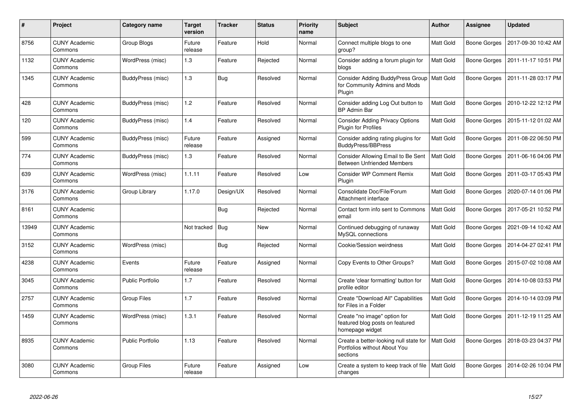| $\pmb{\#}$ | <b>Project</b>                  | Category name           | <b>Target</b><br>version | <b>Tracker</b> | <b>Status</b> | <b>Priority</b><br>name | <b>Subject</b>                                                                     | <b>Author</b>    | <b>Assignee</b>     | <b>Updated</b>      |
|------------|---------------------------------|-------------------------|--------------------------|----------------|---------------|-------------------------|------------------------------------------------------------------------------------|------------------|---------------------|---------------------|
| 8756       | <b>CUNY Academic</b><br>Commons | Group Blogs             | Future<br>release        | Feature        | Hold          | Normal                  | Connect multiple blogs to one<br>group?                                            | Matt Gold        | Boone Gorges        | 2017-09-30 10:42 AM |
| 1132       | <b>CUNY Academic</b><br>Commons | WordPress (misc)        | 1.3                      | Feature        | Rejected      | Normal                  | Consider adding a forum plugin for<br>blogs                                        | Matt Gold        | Boone Gorges        | 2011-11-17 10:51 PM |
| 1345       | <b>CUNY Academic</b><br>Commons | BuddyPress (misc)       | 1.3                      | <b>Bug</b>     | Resolved      | Normal                  | <b>Consider Adding BuddyPress Group</b><br>for Community Admins and Mods<br>Plugin | Matt Gold        | <b>Boone Gorges</b> | 2011-11-28 03:17 PM |
| 428        | <b>CUNY Academic</b><br>Commons | BuddyPress (misc)       | 1.2                      | Feature        | Resolved      | Normal                  | Consider adding Log Out button to<br><b>BP Admin Bar</b>                           | Matt Gold        | Boone Gorges        | 2010-12-22 12:12 PM |
| 120        | <b>CUNY Academic</b><br>Commons | BuddyPress (misc)       | 1.4                      | Feature        | Resolved      | Normal                  | <b>Consider Adding Privacy Options</b><br><b>Plugin for Profiles</b>               | Matt Gold        | Boone Gorges        | 2015-11-12 01:02 AM |
| 599        | <b>CUNY Academic</b><br>Commons | BuddyPress (misc)       | Future<br>release        | Feature        | Assigned      | Normal                  | Consider adding rating plugins for<br><b>BuddyPress/BBPress</b>                    | Matt Gold        | Boone Gorges        | 2011-08-22 06:50 PM |
| 774        | <b>CUNY Academic</b><br>Commons | BuddyPress (misc)       | 1.3                      | Feature        | Resolved      | Normal                  | Consider Allowing Email to Be Sent<br><b>Between Unfriended Members</b>            | Matt Gold        | Boone Gorges        | 2011-06-16 04:06 PM |
| 639        | <b>CUNY Academic</b><br>Commons | WordPress (misc)        | 1.1.11                   | Feature        | Resolved      | Low                     | <b>Consider WP Comment Remix</b><br>Plugin                                         | Matt Gold        | <b>Boone Gorges</b> | 2011-03-17 05:43 PM |
| 3176       | <b>CUNY Academic</b><br>Commons | Group Library           | 1.17.0                   | Design/UX      | Resolved      | Normal                  | Consolidate Doc/File/Forum<br>Attachment interface                                 | Matt Gold        | Boone Gorges        | 2020-07-14 01:06 PM |
| 8161       | <b>CUNY Academic</b><br>Commons |                         |                          | <b>Bug</b>     | Rejected      | Normal                  | Contact form info sent to Commons<br>email                                         | <b>Matt Gold</b> | Boone Gorges        | 2017-05-21 10:52 PM |
| 13949      | <b>CUNY Academic</b><br>Commons |                         | Not tracked              | Bug            | New           | Normal                  | Continued debugging of runaway<br>MySQL connections                                | Matt Gold        | Boone Gorges        | 2021-09-14 10:42 AM |
| 3152       | <b>CUNY Academic</b><br>Commons | WordPress (misc)        |                          | <b>Bug</b>     | Rejected      | Normal                  | Cookie/Session weirdness                                                           | Matt Gold        | Boone Gorges        | 2014-04-27 02:41 PM |
| 4238       | <b>CUNY Academic</b><br>Commons | Events                  | Future<br>release        | Feature        | Assigned      | Normal                  | Copy Events to Other Groups?                                                       | Matt Gold        | Boone Gorges        | 2015-07-02 10:08 AM |
| 3045       | <b>CUNY Academic</b><br>Commons | <b>Public Portfolio</b> | 1.7                      | Feature        | Resolved      | Normal                  | Create 'clear formatting' button for<br>profile editor                             | Matt Gold        | Boone Gorges        | 2014-10-08 03:53 PM |
| 2757       | <b>CUNY Academic</b><br>Commons | Group Files             | 1.7                      | Feature        | Resolved      | Normal                  | Create "Download All" Capabilities<br>for Files in a Folder                        | Matt Gold        | Boone Gorges        | 2014-10-14 03:09 PM |
| 1459       | <b>CUNY Academic</b><br>Commons | WordPress (misc)        | 1.3.1                    | Feature        | Resolved      | Normal                  | Create "no image" option for<br>featured blog posts on featured<br>homepage widget | Matt Gold        | Boone Gorges        | 2011-12-19 11:25 AM |
| 8935       | <b>CUNY Academic</b><br>Commons | <b>Public Portfolio</b> | 1.13                     | Feature        | Resolved      | Normal                  | Create a better-looking null state for<br>Portfolios without About You<br>sections | Matt Gold        | Boone Gorges        | 2018-03-23 04:37 PM |
| 3080       | <b>CUNY Academic</b><br>Commons | <b>Group Files</b>      | Future<br>release        | Feature        | Assigned      | Low                     | Create a system to keep track of file<br>changes                                   | <b>Matt Gold</b> | Boone Gorges        | 2014-02-26 10:04 PM |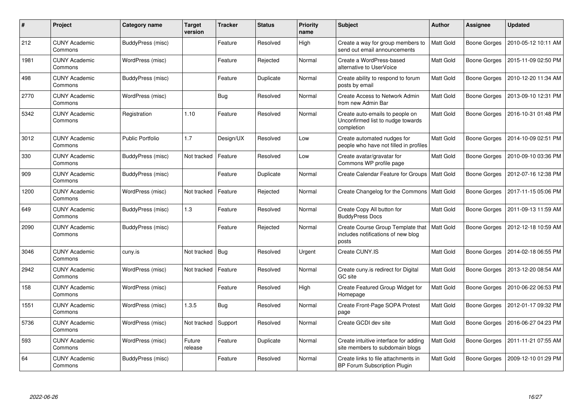| #    | Project                         | Category name           | <b>Target</b><br>version | <b>Tracker</b> | <b>Status</b> | <b>Priority</b><br>name | Subject                                                                            | <b>Author</b>    | <b>Assignee</b> | <b>Updated</b>      |
|------|---------------------------------|-------------------------|--------------------------|----------------|---------------|-------------------------|------------------------------------------------------------------------------------|------------------|-----------------|---------------------|
| 212  | <b>CUNY Academic</b><br>Commons | BuddyPress (misc)       |                          | Feature        | Resolved      | High                    | Create a way for group members to<br>send out email announcements                  | Matt Gold        | Boone Gorges    | 2010-05-12 10:11 AM |
| 1981 | <b>CUNY Academic</b><br>Commons | WordPress (misc)        |                          | Feature        | Rejected      | Normal                  | Create a WordPress-based<br>alternative to UserVoice                               | Matt Gold        | Boone Gorges    | 2015-11-09 02:50 PM |
| 498  | <b>CUNY Academic</b><br>Commons | BuddyPress (misc)       |                          | Feature        | Duplicate     | Normal                  | Create ability to respond to forum<br>posts by email                               | Matt Gold        | Boone Gorges    | 2010-12-20 11:34 AM |
| 2770 | <b>CUNY Academic</b><br>Commons | WordPress (misc)        |                          | Bug            | Resolved      | Normal                  | <b>Create Access to Network Admin</b><br>from new Admin Bar                        | <b>Matt Gold</b> | Boone Gorges    | 2013-09-10 12:31 PM |
| 5342 | <b>CUNY Academic</b><br>Commons | Registration            | 1.10                     | Feature        | Resolved      | Normal                  | Create auto-emails to people on<br>Unconfirmed list to nudge towards<br>completion | Matt Gold        | Boone Gorges    | 2016-10-31 01:48 PM |
| 3012 | <b>CUNY Academic</b><br>Commons | <b>Public Portfolio</b> | 1.7                      | Design/UX      | Resolved      | Low                     | Create automated nudges for<br>people who have not filled in profiles              | <b>Matt Gold</b> | Boone Gorges    | 2014-10-09 02:51 PM |
| 330  | <b>CUNY Academic</b><br>Commons | BuddyPress (misc)       | Not tracked              | Feature        | Resolved      | Low                     | Create avatar/gravatar for<br>Commons WP profile page                              | Matt Gold        | Boone Gorges    | 2010-09-10 03:36 PM |
| 909  | <b>CUNY Academic</b><br>Commons | BuddyPress (misc)       |                          | Feature        | Duplicate     | Normal                  | Create Calendar Feature for Groups                                                 | <b>Matt Gold</b> | Boone Gorges    | 2012-07-16 12:38 PM |
| 1200 | <b>CUNY Academic</b><br>Commons | WordPress (misc)        | Not tracked              | Feature        | Rejected      | Normal                  | Create Changelog for the Commons                                                   | Matt Gold        | Boone Gorges    | 2017-11-15 05:06 PM |
| 649  | <b>CUNY Academic</b><br>Commons | BuddyPress (misc)       | 1.3                      | Feature        | Resolved      | Normal                  | Create Copy All button for<br><b>BuddyPress Docs</b>                               | Matt Gold        | Boone Gorges    | 2011-09-13 11:59 AM |
| 2090 | CUNY Academic<br>Commons        | BuddyPress (misc)       |                          | Feature        | Rejected      | Normal                  | Create Course Group Template that<br>includes notifications of new blog<br>posts   | Matt Gold        | Boone Gorges    | 2012-12-18 10:59 AM |
| 3046 | <b>CUNY Academic</b><br>Commons | cuny.is                 | Not tracked              | Bug            | Resolved      | Urgent                  | Create CUNY.IS                                                                     | Matt Gold        | Boone Gorges    | 2014-02-18 06:55 PM |
| 2942 | <b>CUNY Academic</b><br>Commons | WordPress (misc)        | Not tracked              | Feature        | Resolved      | Normal                  | Create cuny is redirect for Digital<br>GC site                                     | Matt Gold        | Boone Gorges    | 2013-12-20 08:54 AM |
| 158  | <b>CUNY Academic</b><br>Commons | WordPress (misc)        |                          | Feature        | Resolved      | High                    | Create Featured Group Widget for<br>Homepage                                       | Matt Gold        | Boone Gorges    | 2010-06-22 06:53 PM |
| 1551 | <b>CUNY Academic</b><br>Commons | WordPress (misc)        | 1.3.5                    | <b>Bug</b>     | Resolved      | Normal                  | Create Front-Page SOPA Protest<br>page                                             | Matt Gold        | Boone Gorges    | 2012-01-17 09:32 PM |
| 5736 | <b>CUNY Academic</b><br>Commons | WordPress (misc)        | Not tracked              | Support        | Resolved      | Normal                  | Create GCDI dev site                                                               | <b>Matt Gold</b> | Boone Gorges    | 2016-06-27 04:23 PM |
| 593  | <b>CUNY Academic</b><br>Commons | WordPress (misc)        | Future<br>release        | Feature        | Duplicate     | Normal                  | Create intuitive interface for adding<br>site members to subdomain blogs           | Matt Gold        | Boone Gorges    | 2011-11-21 07:55 AM |
| 64   | <b>CUNY Academic</b><br>Commons | BuddyPress (misc)       |                          | Feature        | Resolved      | Normal                  | Create links to file attachments in<br><b>BP Forum Subscription Plugin</b>         | Matt Gold        | Boone Gorges    | 2009-12-10 01:29 PM |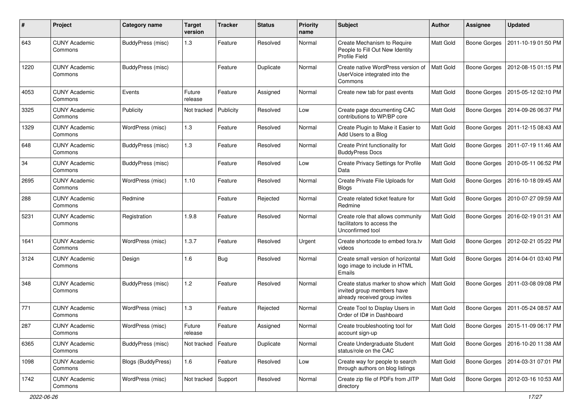| $\#$ | Project                         | <b>Category name</b>      | <b>Target</b><br>version | <b>Tracker</b> | <b>Status</b> | <b>Priority</b><br>name | Subject                                                                                            | <b>Author</b>    | <b>Assignee</b>     | <b>Updated</b>      |
|------|---------------------------------|---------------------------|--------------------------|----------------|---------------|-------------------------|----------------------------------------------------------------------------------------------------|------------------|---------------------|---------------------|
| 643  | <b>CUNY Academic</b><br>Commons | BuddyPress (misc)         | 1.3                      | Feature        | Resolved      | Normal                  | Create Mechanism to Require<br>People to Fill Out New Identity<br>Profile Field                    | Matt Gold        | <b>Boone Gorges</b> | 2011-10-19 01:50 PM |
| 1220 | <b>CUNY Academic</b><br>Commons | BuddyPress (misc)         |                          | Feature        | Duplicate     | Normal                  | Create native WordPress version of<br>UserVoice integrated into the<br>Commons                     | Matt Gold        | <b>Boone Gorges</b> | 2012-08-15 01:15 PM |
| 4053 | <b>CUNY Academic</b><br>Commons | Events                    | Future<br>release        | Feature        | Assigned      | Normal                  | Create new tab for past events                                                                     | Matt Gold        | <b>Boone Gorges</b> | 2015-05-12 02:10 PM |
| 3325 | <b>CUNY Academic</b><br>Commons | Publicity                 | Not tracked              | Publicity      | Resolved      | Low                     | Create page documenting CAC<br>contributions to WP/BP core                                         | Matt Gold        | <b>Boone Gorges</b> | 2014-09-26 06:37 PM |
| 1329 | <b>CUNY Academic</b><br>Commons | WordPress (misc)          | 1.3                      | Feature        | Resolved      | Normal                  | Create Plugin to Make it Easier to<br>Add Users to a Blog                                          | Matt Gold        | <b>Boone Gorges</b> | 2011-12-15 08:43 AM |
| 648  | <b>CUNY Academic</b><br>Commons | BuddyPress (misc)         | 1.3                      | Feature        | Resolved      | Normal                  | Create Print functionality for<br><b>BuddyPress Docs</b>                                           | Matt Gold        | Boone Gorges        | 2011-07-19 11:46 AM |
| 34   | <b>CUNY Academic</b><br>Commons | BuddyPress (misc)         |                          | Feature        | Resolved      | Low                     | <b>Create Privacy Settings for Profile</b><br>Data                                                 | <b>Matt Gold</b> | <b>Boone Gorges</b> | 2010-05-11 06:52 PM |
| 2695 | <b>CUNY Academic</b><br>Commons | WordPress (misc)          | 1.10                     | Feature        | Resolved      | Normal                  | Create Private File Uploads for<br><b>Blogs</b>                                                    | <b>Matt Gold</b> | <b>Boone Gorges</b> | 2016-10-18 09:45 AM |
| 288  | <b>CUNY Academic</b><br>Commons | Redmine                   |                          | Feature        | Rejected      | Normal                  | Create related ticket feature for<br>Redmine                                                       | <b>Matt Gold</b> | <b>Boone Gorges</b> | 2010-07-27 09:59 AM |
| 5231 | <b>CUNY Academic</b><br>Commons | Registration              | 1.9.8                    | Feature        | Resolved      | Normal                  | Create role that allows community<br>facilitators to access the<br>Unconfirmed tool                | <b>Matt Gold</b> | <b>Boone Gorges</b> | 2016-02-19 01:31 AM |
| 1641 | <b>CUNY Academic</b><br>Commons | WordPress (misc)          | 1.3.7                    | Feature        | Resolved      | Urgent                  | Create shortcode to embed fora.tv<br>videos                                                        | <b>Matt Gold</b> | <b>Boone Gorges</b> | 2012-02-21 05:22 PM |
| 3124 | <b>CUNY Academic</b><br>Commons | Design                    | 1.6                      | Bug            | Resolved      | Normal                  | Create small version of horizontal<br>logo image to include in HTML<br>Emails                      | <b>Matt Gold</b> | <b>Boone Gorges</b> | 2014-04-01 03:40 PM |
| 348  | <b>CUNY Academic</b><br>Commons | BuddyPress (misc)         | 1.2                      | Feature        | Resolved      | Normal                  | Create status marker to show which<br>invited group members have<br>already received group invites | <b>Matt Gold</b> | <b>Boone Gorges</b> | 2011-03-08 09:08 PM |
| 771  | <b>CUNY Academic</b><br>Commons | WordPress (misc)          | 1.3                      | Feature        | Rejected      | Normal                  | Create Tool to Display Users in<br>Order of ID# in Dashboard                                       | Matt Gold        | <b>Boone Gorges</b> | 2011-05-24 08:57 AM |
| 287  | <b>CUNY Academic</b><br>Commons | WordPress (misc)          | Future<br>release        | Feature        | Assigned      | Normal                  | Create troubleshooting tool for<br>account sign-up                                                 | <b>Matt Gold</b> | <b>Boone Gorges</b> | 2015-11-09 06:17 PM |
| 6365 | <b>CUNY Academic</b><br>Commons | BuddyPress (misc)         | Not tracked              | Feature        | Duplicate     | Normal                  | Create Undergraduate Student<br>status/role on the CAC                                             | Matt Gold        | Boone Gorges        | 2016-10-20 11:38 AM |
| 1098 | <b>CUNY Academic</b><br>Commons | <b>Blogs (BuddyPress)</b> | 1.6                      | Feature        | Resolved      | Low                     | Create way for people to search<br>through authors on blog listings                                | Matt Gold        | <b>Boone Gorges</b> | 2014-03-31 07:01 PM |
| 1742 | <b>CUNY Academic</b><br>Commons | WordPress (misc)          | Not tracked   Support    |                | Resolved      | Normal                  | Create zip file of PDFs from JITP<br>directory                                                     | Matt Gold        | <b>Boone Gorges</b> | 2012-03-16 10:53 AM |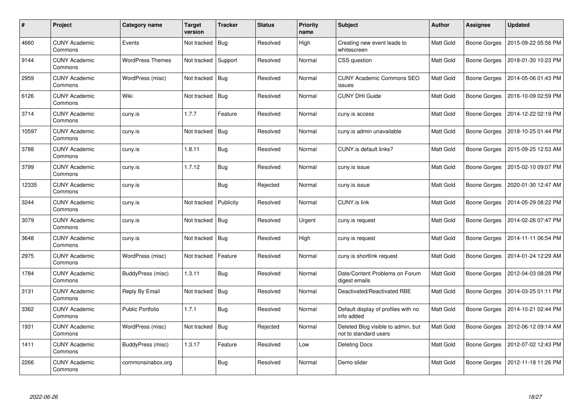| $\#$  | Project                         | Category name           | <b>Target</b><br>version | <b>Tracker</b> | <b>Status</b> | <b>Priority</b><br>name | <b>Subject</b>                                              | <b>Author</b>    | Assignee     | <b>Updated</b>      |
|-------|---------------------------------|-------------------------|--------------------------|----------------|---------------|-------------------------|-------------------------------------------------------------|------------------|--------------|---------------------|
| 4660  | <b>CUNY Academic</b><br>Commons | Events                  | Not tracked              | Bug            | Resolved      | High                    | Creating new event leads to<br>whitescreen                  | Matt Gold        | Boone Gorges | 2015-09-22 05:56 PM |
| 9144  | <b>CUNY Academic</b><br>Commons | <b>WordPress Themes</b> | Not tracked              | Support        | Resolved      | Normal                  | CSS question                                                | Matt Gold        | Boone Gorges | 2018-01-30 10:23 PM |
| 2959  | <b>CUNY Academic</b><br>Commons | WordPress (misc)        | Not tracked              | Bug            | Resolved      | Normal                  | <b>CUNY Academic Commons SEO</b><br>issues                  | Matt Gold        | Boone Gorges | 2014-05-06 01:43 PM |
| 6126  | <b>CUNY Academic</b><br>Commons | Wiki                    | Not tracked              | Bug            | Resolved      | Normal                  | <b>CUNY DHI Guide</b>                                       | Matt Gold        | Boone Gorges | 2016-10-09 02:59 PM |
| 3714  | <b>CUNY Academic</b><br>Commons | cuny.is                 | 1.7.7                    | Feature        | Resolved      | Normal                  | cuny.is access                                              | <b>Matt Gold</b> | Boone Gorges | 2014-12-22 02:19 PM |
| 10597 | <b>CUNY Academic</b><br>Commons | cuny.is                 | Not tracked              | Bug            | Resolved      | Normal                  | cuny.is admin unavailable                                   | Matt Gold        | Boone Gorges | 2018-10-25 01:44 PM |
| 3788  | <b>CUNY Academic</b><br>Commons | cuny.is                 | 1.8.11                   | <b>Bug</b>     | Resolved      | Normal                  | CUNY.is default links?                                      | Matt Gold        | Boone Gorges | 2015-09-25 12:53 AM |
| 3799  | <b>CUNY Academic</b><br>Commons | cuny.is                 | 1.7.12                   | <b>Bug</b>     | Resolved      | Normal                  | cuny.is issue                                               | Matt Gold        | Boone Gorges | 2015-02-10 09:07 PM |
| 12335 | <b>CUNY Academic</b><br>Commons | cuny.is                 |                          | <b>Bug</b>     | Rejected      | Normal                  | cuny.is issue                                               | <b>Matt Gold</b> | Boone Gorges | 2020-01-30 12:47 AM |
| 3244  | <b>CUNY Academic</b><br>Commons | cuny.is                 | Not tracked              | Publicity      | Resolved      | Normal                  | <b>CUNY.is link</b>                                         | Matt Gold        | Boone Gorges | 2014-05-29 08:22 PM |
| 3079  | <b>CUNY Academic</b><br>Commons | cuny.is                 | Not tracked              | Bug            | Resolved      | Urgent                  | cuny.is request                                             | <b>Matt Gold</b> | Boone Gorges | 2014-02-26 07:47 PM |
| 3648  | <b>CUNY Academic</b><br>Commons | cuny.is                 | Not tracked              | Bug            | Resolved      | High                    | cuny.is request                                             | Matt Gold        | Boone Gorges | 2014-11-11 06:54 PM |
| 2975  | <b>CUNY Academic</b><br>Commons | WordPress (misc)        | Not tracked              | Feature        | Resolved      | Normal                  | cuny.is shortlink request                                   | Matt Gold        | Boone Gorges | 2014-01-24 12:29 AM |
| 1784  | <b>CUNY Academic</b><br>Commons | BuddyPress (misc)       | 1.3.11                   | <b>Bug</b>     | Resolved      | Normal                  | Date/Content Problems on Forum<br>digest emails             | Matt Gold        | Boone Gorges | 2012-04-03 08:28 PM |
| 3131  | <b>CUNY Academic</b><br>Commons | Reply By Email          | Not tracked              | Bug            | Resolved      | Normal                  | Deactivated/Reactivated RBE                                 | Matt Gold        | Boone Gorges | 2014-03-25 01:11 PM |
| 3362  | <b>CUNY Academic</b><br>Commons | <b>Public Portfolio</b> | 1.7.1                    | <b>Bug</b>     | Resolved      | Normal                  | Default display of profiles with no<br>info added           | Matt Gold        | Boone Gorges | 2014-10-21 02:44 PM |
| 1931  | <b>CUNY Academic</b><br>Commons | WordPress (misc)        | Not tracked              | Bug            | Rejected      | Normal                  | Deleted Blog visible to admin, but<br>not to standard users | Matt Gold        | Boone Gorges | 2012-06-12 09:14 AM |
| 1411  | <b>CUNY Academic</b><br>Commons | BuddyPress (misc)       | 1.3.17                   | Feature        | Resolved      | Low                     | <b>Deleting Docs</b>                                        | Matt Gold        | Boone Gorges | 2012-07-02 12:43 PM |
| 2266  | <b>CUNY Academic</b><br>Commons | commonsinabox.org       |                          | <b>Bug</b>     | Resolved      | Normal                  | Demo slider                                                 | Matt Gold        | Boone Gorges | 2012-11-18 11:26 PM |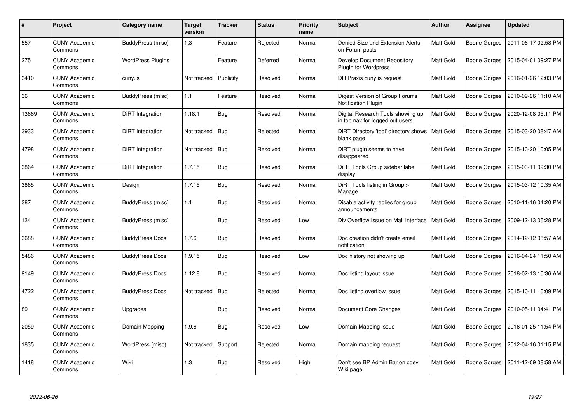| #     | Project                         | Category name            | Target<br>version | <b>Tracker</b> | <b>Status</b> | <b>Priority</b><br>name | Subject                                                              | <b>Author</b>    | <b>Assignee</b> | <b>Updated</b>      |
|-------|---------------------------------|--------------------------|-------------------|----------------|---------------|-------------------------|----------------------------------------------------------------------|------------------|-----------------|---------------------|
| 557   | <b>CUNY Academic</b><br>Commons | BuddyPress (misc)        | 1.3               | Feature        | Rejected      | Normal                  | Denied Size and Extension Alerts<br>on Forum posts                   | Matt Gold        | Boone Gorges    | 2011-06-17 02:58 PM |
| 275   | <b>CUNY Academic</b><br>Commons | <b>WordPress Plugins</b> |                   | Feature        | Deferred      | Normal                  | Develop Document Repository<br><b>Plugin for Wordpress</b>           | Matt Gold        | Boone Gorges    | 2015-04-01 09:27 PM |
| 3410  | <b>CUNY Academic</b><br>Commons | cuny.is                  | Not tracked       | Publicity      | Resolved      | Normal                  | DH Praxis cuny.is request                                            | <b>Matt Gold</b> | Boone Gorges    | 2016-01-26 12:03 PM |
| 36    | <b>CUNY Academic</b><br>Commons | BuddyPress (misc)        | 1.1               | Feature        | Resolved      | Normal                  | Digest Version of Group Forums<br>Notification Plugin                | Matt Gold        | Boone Gorges    | 2010-09-26 11:10 AM |
| 13669 | <b>CUNY Academic</b><br>Commons | DiRT Integration         | 1.18.1            | <b>Bug</b>     | Resolved      | Normal                  | Digital Research Tools showing up<br>in top nav for logged out users | Matt Gold        | Boone Gorges    | 2020-12-08 05:11 PM |
| 3933  | <b>CUNY Academic</b><br>Commons | DiRT Integration         | Not tracked       | <b>Bug</b>     | Rejected      | Normal                  | DiRT Directory 'tool' directory shows<br>blank page                  | Matt Gold        | Boone Gorges    | 2015-03-20 08:47 AM |
| 4798  | <b>CUNY Academic</b><br>Commons | DiRT Integration         | Not tracked       | Bug            | Resolved      | Normal                  | DiRT plugin seems to have<br>disappeared                             | Matt Gold        | Boone Gorges    | 2015-10-20 10:05 PM |
| 3864  | <b>CUNY Academic</b><br>Commons | DiRT Integration         | 1.7.15            | Bug            | Resolved      | Normal                  | DiRT Tools Group sidebar label<br>display                            | Matt Gold        | Boone Gorges    | 2015-03-11 09:30 PM |
| 3865  | <b>CUNY Academic</b><br>Commons | Design                   | 1.7.15            | <b>Bug</b>     | Resolved      | Normal                  | DiRT Tools listing in Group ><br>Manage                              | Matt Gold        | Boone Gorges    | 2015-03-12 10:35 AM |
| 387   | <b>CUNY Academic</b><br>Commons | BuddyPress (misc)        | 1.1               | Bug            | Resolved      | Normal                  | Disable activity replies for group<br>announcements                  | Matt Gold        | Boone Gorges    | 2010-11-16 04:20 PM |
| 134   | <b>CUNY Academic</b><br>Commons | BuddyPress (misc)        |                   | <b>Bug</b>     | Resolved      | Low                     | Div Overflow Issue on Mail Interface                                 | Matt Gold        | Boone Gorges    | 2009-12-13 06:28 PM |
| 3688  | <b>CUNY Academic</b><br>Commons | <b>BuddyPress Docs</b>   | 1.7.6             | <b>Bug</b>     | Resolved      | Normal                  | Doc creation didn't create email<br>notification                     | Matt Gold        | Boone Gorges    | 2014-12-12 08:57 AM |
| 5486  | <b>CUNY Academic</b><br>Commons | <b>BuddyPress Docs</b>   | 1.9.15            | <b>Bug</b>     | Resolved      | Low                     | Doc history not showing up                                           | Matt Gold        | Boone Gorges    | 2016-04-24 11:50 AM |
| 9149  | <b>CUNY Academic</b><br>Commons | <b>BuddyPress Docs</b>   | 1.12.8            | Bug            | Resolved      | Normal                  | Doc listing layout issue                                             | Matt Gold        | Boone Gorges    | 2018-02-13 10:36 AM |
| 4722  | <b>CUNY Academic</b><br>Commons | <b>BuddyPress Docs</b>   | Not tracked       | Bug            | Rejected      | Normal                  | Doc listing overflow issue                                           | Matt Gold        | Boone Gorges    | 2015-10-11 10:09 PM |
| 89    | <b>CUNY Academic</b><br>Commons | Upgrades                 |                   | <b>Bug</b>     | Resolved      | Normal                  | Document Core Changes                                                | Matt Gold        | Boone Gorges    | 2010-05-11 04:41 PM |
| 2059  | <b>CUNY Academic</b><br>Commons | Domain Mapping           | 1.9.6             | Bug            | Resolved      | Low                     | Domain Mapping Issue                                                 | Matt Gold        | Boone Gorges    | 2016-01-25 11:54 PM |
| 1835  | <b>CUNY Academic</b><br>Commons | WordPress (misc)         | Not tracked       | Support        | Rejected      | Normal                  | Domain mapping request                                               | Matt Gold        | Boone Gorges    | 2012-04-16 01:15 PM |
| 1418  | <b>CUNY Academic</b><br>Commons | Wiki                     | 1.3               | <b>Bug</b>     | Resolved      | High                    | Don't see BP Admin Bar on cdev<br>Wiki page                          | Matt Gold        | Boone Gorges    | 2011-12-09 08:58 AM |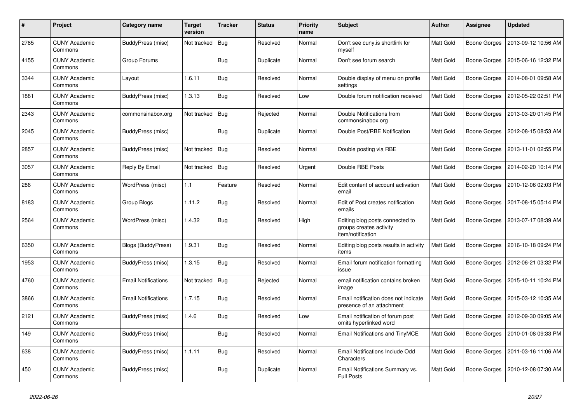| #    | Project                         | Category name              | <b>Target</b><br>version | <b>Tracker</b> | <b>Status</b> | <b>Priority</b><br>name | <b>Subject</b>                                                                  | Author           | Assignee            | <b>Updated</b>      |
|------|---------------------------------|----------------------------|--------------------------|----------------|---------------|-------------------------|---------------------------------------------------------------------------------|------------------|---------------------|---------------------|
| 2785 | <b>CUNY Academic</b><br>Commons | BuddyPress (misc)          | Not tracked              | Bug            | Resolved      | Normal                  | Don't see cuny.is shortlink for<br>myself                                       | Matt Gold        | Boone Gorges        | 2013-09-12 10:56 AM |
| 4155 | <b>CUNY Academic</b><br>Commons | Group Forums               |                          | <b>Bug</b>     | Duplicate     | Normal                  | Don't see forum search                                                          | Matt Gold        | Boone Gorges        | 2015-06-16 12:32 PM |
| 3344 | <b>CUNY Academic</b><br>Commons | Layout                     | 1.6.11                   | Bug            | Resolved      | Normal                  | Double display of menu on profile<br>settings                                   | Matt Gold        | Boone Gorges        | 2014-08-01 09:58 AM |
| 1881 | <b>CUNY Academic</b><br>Commons | BuddyPress (misc)          | 1.3.13                   | <b>Bug</b>     | Resolved      | Low                     | Double forum notification received                                              | Matt Gold        | Boone Gorges        | 2012-05-22 02:51 PM |
| 2343 | <b>CUNY Academic</b><br>Commons | commonsinabox.org          | Not tracked              | Bug            | Rejected      | Normal                  | Double Notifications from<br>commonsinabox.org                                  | Matt Gold        | Boone Gorges        | 2013-03-20 01:45 PM |
| 2045 | <b>CUNY Academic</b><br>Commons | BuddyPress (misc)          |                          | Bug            | Duplicate     | Normal                  | Double Post/RBE Notification                                                    | <b>Matt Gold</b> | Boone Gorges        | 2012-08-15 08:53 AM |
| 2857 | <b>CUNY Academic</b><br>Commons | BuddyPress (misc)          | Not tracked              | Bug            | Resolved      | Normal                  | Double posting via RBE                                                          | Matt Gold        | Boone Gorges        | 2013-11-01 02:55 PM |
| 3057 | CUNY Academic<br>Commons        | Reply By Email             | Not tracked              | Bug            | Resolved      | Urgent                  | Double RBE Posts                                                                | Matt Gold        | <b>Boone Gorges</b> | 2014-02-20 10:14 PM |
| 286  | <b>CUNY Academic</b><br>Commons | WordPress (misc)           | 1.1                      | Feature        | Resolved      | Normal                  | Edit content of account activation<br>email                                     | Matt Gold        | Boone Gorges        | 2010-12-06 02:03 PM |
| 8183 | <b>CUNY Academic</b><br>Commons | Group Blogs                | 1.11.2                   | <b>Bug</b>     | Resolved      | Normal                  | Edit of Post creates notification<br>emails                                     | Matt Gold        | <b>Boone Gorges</b> | 2017-08-15 05:14 PM |
| 2564 | CUNY Academic<br>Commons        | WordPress (misc)           | 1.4.32                   | Bug            | Resolved      | High                    | Editing blog posts connected to<br>groups creates activity<br>item/notification | Matt Gold        | <b>Boone Gorges</b> | 2013-07-17 08:39 AM |
| 6350 | <b>CUNY Academic</b><br>Commons | Blogs (BuddyPress)         | 1.9.31                   | <b>Bug</b>     | Resolved      | Normal                  | Editing blog posts results in activity<br>items                                 | Matt Gold        | <b>Boone Gorges</b> | 2016-10-18 09:24 PM |
| 1953 | <b>CUNY Academic</b><br>Commons | BuddyPress (misc)          | 1.3.15                   | <b>Bug</b>     | Resolved      | Normal                  | Email forum notification formatting<br>issue                                    | Matt Gold        | Boone Gorges        | 2012-06-21 03:32 PM |
| 4760 | <b>CUNY Academic</b><br>Commons | <b>Email Notifications</b> | Not tracked              | Bug            | Rejected      | Normal                  | email notification contains broken<br>image                                     | Matt Gold        | Boone Gorges        | 2015-10-11 10:24 PM |
| 3866 | <b>CUNY Academic</b><br>Commons | <b>Email Notifications</b> | 1.7.15                   | <b>Bug</b>     | Resolved      | Normal                  | Email notification does not indicate<br>presence of an attachment               | Matt Gold        | <b>Boone Gorges</b> | 2015-03-12 10:35 AM |
| 2121 | <b>CUNY Academic</b><br>Commons | BuddyPress (misc)          | 1.4.6                    | <b>Bug</b>     | Resolved      | Low                     | Email notification of forum post<br>omits hyperlinked word                      | Matt Gold        | Boone Gorges        | 2012-09-30 09:05 AM |
| 149  | <b>CUNY Academic</b><br>Commons | BuddyPress (misc)          |                          | Bug            | Resolved      | Normal                  | Email Notifications and TinyMCE                                                 | Matt Gold        | Boone Gorges        | 2010-01-08 09:33 PM |
| 638  | <b>CUNY Academic</b><br>Commons | BuddyPress (misc)          | 1.1.11                   | Bug            | Resolved      | Normal                  | Email Notifications Include Odd<br>Characters                                   | Matt Gold        | Boone Gorges        | 2011-03-16 11:06 AM |
| 450  | <b>CUNY Academic</b><br>Commons | BuddyPress (misc)          |                          | <b>Bug</b>     | Duplicate     | Normal                  | Email Notifications Summary vs.<br><b>Full Posts</b>                            | Matt Gold        | Boone Gorges        | 2010-12-08 07:30 AM |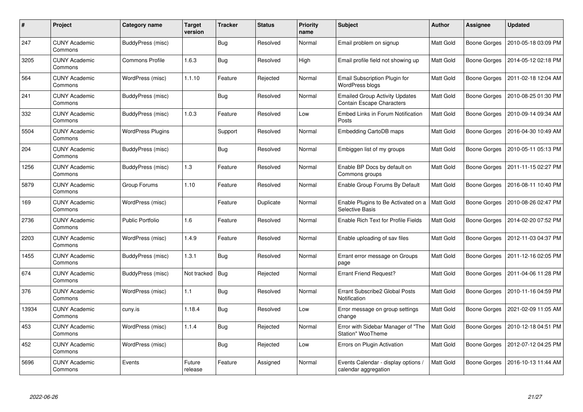| #     | Project                         | Category name            | Target<br>version | <b>Tracker</b> | <b>Status</b> | <b>Priority</b><br>name | <b>Subject</b>                                                     | Author           | Assignee            | <b>Updated</b>      |
|-------|---------------------------------|--------------------------|-------------------|----------------|---------------|-------------------------|--------------------------------------------------------------------|------------------|---------------------|---------------------|
| 247   | <b>CUNY Academic</b><br>Commons | BuddyPress (misc)        |                   | Bug            | Resolved      | Normal                  | Email problem on signup                                            | Matt Gold        | <b>Boone Gorges</b> | 2010-05-18 03:09 PM |
| 3205  | <b>CUNY Academic</b><br>Commons | Commons Profile          | 1.6.3             | Bug            | Resolved      | High                    | Email profile field not showing up                                 | Matt Gold        | Boone Gorges        | 2014-05-12 02:18 PM |
| 564   | <b>CUNY Academic</b><br>Commons | WordPress (misc)         | 1.1.10            | Feature        | Rejected      | Normal                  | Email Subscription Plugin for<br>WordPress blogs                   | Matt Gold        | Boone Gorges        | 2011-02-18 12:04 AM |
| 241   | <b>CUNY Academic</b><br>Commons | BuddyPress (misc)        |                   | Bug            | Resolved      | Normal                  | <b>Emailed Group Activity Updates</b><br>Contain Escape Characters | Matt Gold        | Boone Gorges        | 2010-08-25 01:30 PM |
| 332   | <b>CUNY Academic</b><br>Commons | BuddyPress (misc)        | 1.0.3             | Feature        | Resolved      | Low                     | Embed Links in Forum Notification<br>Posts                         | Matt Gold        | Boone Gorges        | 2010-09-14 09:34 AM |
| 5504  | <b>CUNY Academic</b><br>Commons | <b>WordPress Plugins</b> |                   | Support        | Resolved      | Normal                  | Embedding CartoDB maps                                             | Matt Gold        | <b>Boone Gorges</b> | 2016-04-30 10:49 AM |
| 204   | <b>CUNY Academic</b><br>Commons | BuddyPress (misc)        |                   | Bug            | Resolved      | Normal                  | Embiggen list of my groups                                         | Matt Gold        | Boone Gorges        | 2010-05-11 05:13 PM |
| 1256  | CUNY Academic<br>Commons        | BuddyPress (misc)        | 1.3               | Feature        | Resolved      | Normal                  | Enable BP Docs by default on<br>Commons groups                     | Matt Gold        | Boone Gorges        | 2011-11-15 02:27 PM |
| 5879  | <b>CUNY Academic</b><br>Commons | Group Forums             | 1.10              | Feature        | Resolved      | Normal                  | Enable Group Forums By Default                                     | <b>Matt Gold</b> | Boone Gorges        | 2016-08-11 10:40 PM |
| 169   | <b>CUNY Academic</b><br>Commons | WordPress (misc)         |                   | Feature        | Duplicate     | Normal                  | Enable Plugins to Be Activated on a<br>Selective Basis             | <b>Matt Gold</b> | <b>Boone Gorges</b> | 2010-08-26 02:47 PM |
| 2736  | <b>CUNY Academic</b><br>Commons | <b>Public Portfolio</b>  | 1.6               | Feature        | Resolved      | Normal                  | <b>Enable Rich Text for Profile Fields</b>                         | Matt Gold        | Boone Gorges        | 2014-02-20 07:52 PM |
| 2203  | <b>CUNY Academic</b><br>Commons | WordPress (misc)         | 1.4.9             | Feature        | Resolved      | Normal                  | Enable uploading of sav files                                      | Matt Gold        | Boone Gorges        | 2012-11-03 04:37 PM |
| 1455  | <b>CUNY Academic</b><br>Commons | BuddyPress (misc)        | 1.3.1             | <b>Bug</b>     | Resolved      | Normal                  | Errant error message on Groups<br>page                             | Matt Gold        | Boone Gorges        | 2011-12-16 02:05 PM |
| 674   | <b>CUNY Academic</b><br>Commons | <b>BuddyPress (misc)</b> | Not tracked       | Bug            | Rejected      | Normal                  | <b>Errant Friend Request?</b>                                      | Matt Gold        | Boone Gorges        | 2011-04-06 11:28 PM |
| 376   | <b>CUNY Academic</b><br>Commons | WordPress (misc)         | 1.1               | Bug            | Resolved      | Normal                  | Errant Subscribe2 Global Posts<br>Notification                     | Matt Gold        | <b>Boone Gorges</b> | 2010-11-16 04:59 PM |
| 13934 | <b>CUNY Academic</b><br>Commons | cuny.is                  | 1.18.4            | Bug            | Resolved      | Low                     | Error message on group settings<br>change                          | Matt Gold        | Boone Gorges        | 2021-02-09 11:05 AM |
| 453   | <b>CUNY Academic</b><br>Commons | WordPress (misc)         | 1.1.4             | <b>Bug</b>     | Rejected      | Normal                  | Error with Sidebar Manager of "The<br>Station" WooTheme            | Matt Gold        | Boone Gorges        | 2010-12-18 04:51 PM |
| 452   | <b>CUNY Academic</b><br>Commons | WordPress (misc)         |                   | Bug            | Rejected      | Low                     | Errors on Plugin Activation                                        | Matt Gold        | Boone Gorges        | 2012-07-12 04:25 PM |
| 5696  | <b>CUNY Academic</b><br>Commons | Events                   | Future<br>release | Feature        | Assigned      | Normal                  | Events Calendar - display options /<br>calendar aggregation        | Matt Gold        | Boone Gorges        | 2016-10-13 11:44 AM |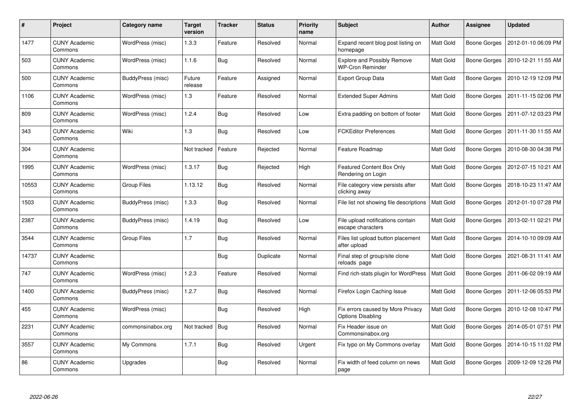| $\#$  | <b>Project</b>                  | Category name      | <b>Target</b><br>version | <b>Tracker</b> | <b>Status</b> | <b>Priority</b><br>name | <b>Subject</b>                                                | <b>Author</b>    | <b>Assignee</b>     | <b>Updated</b>      |
|-------|---------------------------------|--------------------|--------------------------|----------------|---------------|-------------------------|---------------------------------------------------------------|------------------|---------------------|---------------------|
| 1477  | <b>CUNY Academic</b><br>Commons | WordPress (misc)   | 1.3.3                    | Feature        | Resolved      | Normal                  | Expand recent blog post listing on<br>homepage                | Matt Gold        | Boone Gorges        | 2012-01-10 06:09 PM |
| 503   | <b>CUNY Academic</b><br>Commons | WordPress (misc)   | 1.1.6                    | Bug            | Resolved      | Normal                  | <b>Explore and Possibly Remove</b><br><b>WP-Cron Reminder</b> | Matt Gold        | Boone Gorges        | 2010-12-21 11:55 AM |
| 500   | <b>CUNY Academic</b><br>Commons | BuddyPress (misc)  | Future<br>release        | Feature        | Assigned      | Normal                  | <b>Export Group Data</b>                                      | Matt Gold        | Boone Gorges        | 2010-12-19 12:09 PM |
| 1106  | <b>CUNY Academic</b><br>Commons | WordPress (misc)   | 1.3                      | Feature        | Resolved      | Normal                  | <b>Extended Super Admins</b>                                  | Matt Gold        | Boone Gorges        | 2011-11-15 02:06 PM |
| 809   | <b>CUNY Academic</b><br>Commons | WordPress (misc)   | 1.2.4                    | Bug            | Resolved      | Low                     | Extra padding on bottom of footer                             | <b>Matt Gold</b> | Boone Gorges        | 2011-07-12 03:23 PM |
| 343   | <b>CUNY Academic</b><br>Commons | Wiki               | 1.3                      | <b>Bug</b>     | Resolved      | Low                     | <b>FCKEditor Preferences</b>                                  | Matt Gold        | Boone Gorges        | 2011-11-30 11:55 AM |
| 304   | <b>CUNY Academic</b><br>Commons |                    | Not tracked              | Feature        | Rejected      | Normal                  | Feature Roadmap                                               | <b>Matt Gold</b> | Boone Gorges        | 2010-08-30 04:38 PM |
| 1995  | <b>CUNY Academic</b><br>Commons | WordPress (misc)   | 1.3.17                   | <b>Bug</b>     | Rejected      | High                    | Featured Content Box Only<br>Rendering on Login               | Matt Gold        | Boone Gorges        | 2012-07-15 10:21 AM |
| 10553 | <b>CUNY Academic</b><br>Commons | Group Files        | 1.13.12                  | Bug            | Resolved      | Normal                  | File category view persists after<br>clicking away            | Matt Gold        | Boone Gorges        | 2018-10-23 11:47 AM |
| 1503  | <b>CUNY Academic</b><br>Commons | BuddyPress (misc)  | 1.3.3                    | <b>Bug</b>     | Resolved      | Normal                  | File list not showing file descriptions                       | <b>Matt Gold</b> | Boone Gorges        | 2012-01-10 07:28 PM |
| 2387  | <b>CUNY Academic</b><br>Commons | BuddyPress (misc)  | 1.4.19                   | <b>Bug</b>     | Resolved      | Low                     | File upload notifications contain<br>escape characters        | Matt Gold        | <b>Boone Gorges</b> | 2013-02-11 02:21 PM |
| 3544  | <b>CUNY Academic</b><br>Commons | <b>Group Files</b> | 1.7                      | <b>Bug</b>     | Resolved      | Normal                  | Files list upload button placement<br>after upload            | Matt Gold        | Boone Gorges        | 2014-10-10 09:09 AM |
| 14737 | <b>CUNY Academic</b><br>Commons |                    |                          | Bug            | Duplicate     | Normal                  | Final step of group/site clone<br>reloads page                | <b>Matt Gold</b> | Boone Gorges        | 2021-08-31 11:41 AM |
| 747   | <b>CUNY Academic</b><br>Commons | WordPress (misc)   | 1.2.3                    | Feature        | Resolved      | Normal                  | Find rich-stats plugin for WordPress                          | Matt Gold        | Boone Gorges        | 2011-06-02 09:19 AM |
| 1400  | <b>CUNY Academic</b><br>Commons | BuddyPress (misc)  | 1.2.7                    | <b>Bug</b>     | Resolved      | Normal                  | Firefox Login Caching Issue                                   | Matt Gold        | Boone Gorges        | 2011-12-06 05:53 PM |
| 455   | <b>CUNY Academic</b><br>Commons | WordPress (misc)   |                          | Bug            | Resolved      | High                    | Fix errors caused by More Privacy<br><b>Options Disabling</b> | Matt Gold        | Boone Gorges        | 2010-12-08 10:47 PM |
| 2231  | <b>CUNY Academic</b><br>Commons | commonsinabox.org  | Not tracked              | Bug            | Resolved      | Normal                  | Fix Header issue on<br>Commonsinabox.org                      | Matt Gold        | Boone Gorges        | 2014-05-01 07:51 PM |
| 3557  | <b>CUNY Academic</b><br>Commons | My Commons         | 1.7.1                    | <b>Bug</b>     | Resolved      | Urgent                  | Fix typo on My Commons overlay                                | Matt Gold        | Boone Gorges        | 2014-10-15 11:02 PM |
| 86    | <b>CUNY Academic</b><br>Commons | Upgrades           |                          | <b>Bug</b>     | Resolved      | Normal                  | Fix width of feed column on news<br>page                      | Matt Gold        | Boone Gorges        | 2009-12-09 12:26 PM |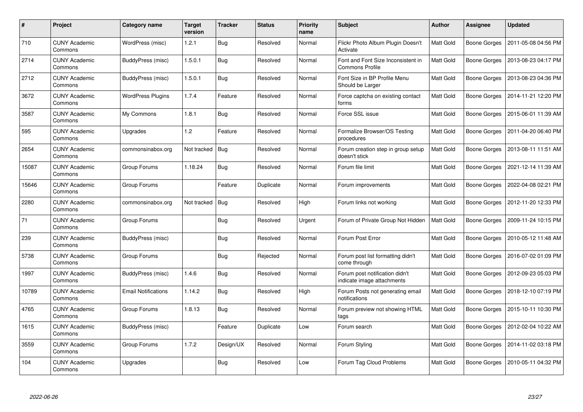| #     | Project                         | Category name              | <b>Target</b><br>version | <b>Tracker</b> | <b>Status</b> | <b>Priority</b><br>name | <b>Subject</b>                                               | Author    | Assignee            | <b>Updated</b>      |
|-------|---------------------------------|----------------------------|--------------------------|----------------|---------------|-------------------------|--------------------------------------------------------------|-----------|---------------------|---------------------|
| 710   | <b>CUNY Academic</b><br>Commons | WordPress (misc)           | 1.2.1                    | <b>Bug</b>     | Resolved      | Normal                  | Flickr Photo Album Plugin Doesn't<br>Activate                | Matt Gold | <b>Boone Gorges</b> | 2011-05-08 04:56 PM |
| 2714  | <b>CUNY Academic</b><br>Commons | BuddyPress (misc)          | 1.5.0.1                  | <b>Bug</b>     | Resolved      | Normal                  | Font and Font Size Inconsistent in<br><b>Commons Profile</b> | Matt Gold | Boone Gorges        | 2013-08-23 04:17 PM |
| 2712  | <b>CUNY Academic</b><br>Commons | BuddyPress (misc)          | 1.5.0.1                  | Bug            | Resolved      | Normal                  | Font Size in BP Profile Menu<br>Should be Larger             | Matt Gold | Boone Gorges        | 2013-08-23 04:36 PM |
| 3672  | <b>CUNY Academic</b><br>Commons | <b>WordPress Plugins</b>   | 1.7.4                    | Feature        | Resolved      | Normal                  | Force captcha on existing contact<br>forms                   | Matt Gold | Boone Gorges        | 2014-11-21 12:20 PM |
| 3587  | <b>CUNY Academic</b><br>Commons | My Commons                 | 1.8.1                    | <b>Bug</b>     | Resolved      | Normal                  | Force SSL issue                                              | Matt Gold | Boone Gorges        | 2015-06-01 11:39 AM |
| 595   | <b>CUNY Academic</b><br>Commons | Upgrades                   | 1.2                      | Feature        | Resolved      | Normal                  | Formalize Browser/OS Testing<br>procedures                   | Matt Gold | Boone Gorges        | 2011-04-20 06:40 PM |
| 2654  | <b>CUNY Academic</b><br>Commons | commonsinabox.org          | Not tracked              | Bug            | Resolved      | Normal                  | Forum creation step in group setup<br>doesn't stick          | Matt Gold | <b>Boone Gorges</b> | 2013-08-11 11:51 AM |
| 15087 | <b>CUNY Academic</b><br>Commons | Group Forums               | 1.18.24                  | Bug            | Resolved      | Normal                  | Forum file limit                                             | Matt Gold | Boone Gorges        | 2021-12-14 11:39 AM |
| 15646 | <b>CUNY Academic</b><br>Commons | Group Forums               |                          | Feature        | Duplicate     | Normal                  | Forum improvements                                           | Matt Gold | Boone Gorges        | 2022-04-08 02:21 PM |
| 2280  | <b>CUNY Academic</b><br>Commons | commonsinabox.org          | Not tracked              | Bug            | Resolved      | High                    | Forum links not working                                      | Matt Gold | Boone Gorges        | 2012-11-20 12:33 PM |
| 71    | <b>CUNY Academic</b><br>Commons | Group Forums               |                          | Bug            | Resolved      | Urgent                  | Forum of Private Group Not Hidden                            | Matt Gold | Boone Gorges        | 2009-11-24 10:15 PM |
| 239   | <b>CUNY Academic</b><br>Commons | BuddyPress (misc)          |                          | Bug            | Resolved      | Normal                  | Forum Post Error                                             | Matt Gold | <b>Boone Gorges</b> | 2010-05-12 11:48 AM |
| 5738  | <b>CUNY Academic</b><br>Commons | Group Forums               |                          | Bug            | Rejected      | Normal                  | Forum post list formatting didn't<br>come through            | Matt Gold | Boone Gorges        | 2016-07-02 01:09 PM |
| 1997  | <b>CUNY Academic</b><br>Commons | BuddyPress (misc)          | 1.4.6                    | Bug            | Resolved      | Normal                  | Forum post notification didn't<br>indicate image attachments | Matt Gold | Boone Gorges        | 2012-09-23 05:03 PM |
| 10789 | <b>CUNY Academic</b><br>Commons | <b>Email Notifications</b> | 1.14.2                   | <b>Bug</b>     | Resolved      | High                    | Forum Posts not generating email<br>notifications            | Matt Gold | <b>Boone Gorges</b> | 2018-12-10 07:19 PM |
| 4765  | <b>CUNY Academic</b><br>Commons | Group Forums               | 1.8.13                   | <b>Bug</b>     | Resolved      | Normal                  | Forum preview not showing HTML<br>tags                       | Matt Gold | Boone Gorges        | 2015-10-11 10:30 PM |
| 1615  | <b>CUNY Academic</b><br>Commons | BuddyPress (misc)          |                          | Feature        | Duplicate     | Low                     | Forum search                                                 | Matt Gold | Boone Gorges        | 2012-02-04 10:22 AM |
| 3559  | <b>CUNY Academic</b><br>Commons | Group Forums               | 1.7.2                    | Design/UX      | Resolved      | Normal                  | Forum Styling                                                | Matt Gold | Boone Gorges        | 2014-11-02 03:18 PM |
| 104   | CUNY Academic<br>Commons        | Upgrades                   |                          | <b>Bug</b>     | Resolved      | Low                     | Forum Tag Cloud Problems                                     | Matt Gold | Boone Gorges        | 2010-05-11 04:32 PM |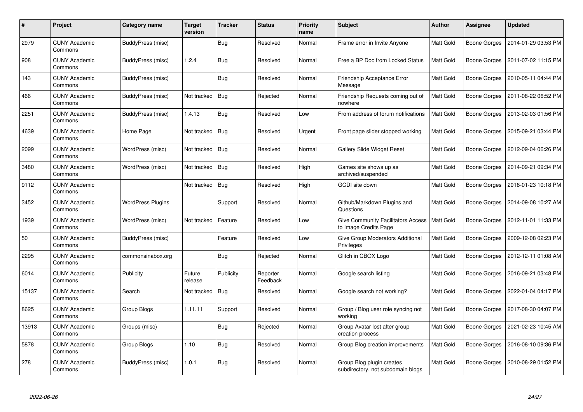| #     | Project                         | Category name     | <b>Target</b><br>version | <b>Tracker</b> | <b>Status</b>        | <b>Priority</b><br>name | <b>Subject</b>                                                     | Author    | Assignee            | <b>Updated</b>      |
|-------|---------------------------------|-------------------|--------------------------|----------------|----------------------|-------------------------|--------------------------------------------------------------------|-----------|---------------------|---------------------|
| 2979  | <b>CUNY Academic</b><br>Commons | BuddyPress (misc) |                          | <b>Bug</b>     | Resolved             | Normal                  | Frame error in Invite Anyone                                       | Matt Gold | <b>Boone Gorges</b> | 2014-01-29 03:53 PM |
| 908   | <b>CUNY Academic</b><br>Commons | BuddyPress (misc) | 1.2.4                    | Bug            | Resolved             | Normal                  | Free a BP Doc from Locked Status                                   | Matt Gold | Boone Gorges        | 2011-07-02 11:15 PM |
| 143   | <b>CUNY Academic</b><br>Commons | BuddyPress (misc) |                          | Bug            | Resolved             | Normal                  | Friendship Acceptance Error<br>Message                             | Matt Gold | Boone Gorges        | 2010-05-11 04:44 PM |
| 466   | <b>CUNY Academic</b><br>Commons | BuddyPress (misc) | Not tracked              | Bug            | Rejected             | Normal                  | Friendship Requests coming out of<br>nowhere                       | Matt Gold | Boone Gorges        | 2011-08-22 06:52 PM |
| 2251  | <b>CUNY Academic</b><br>Commons | BuddyPress (misc) | 1.4.13                   | <b>Bug</b>     | Resolved             | Low                     | From address of forum notifications                                | Matt Gold | Boone Gorges        | 2013-02-03 01:56 PM |
| 4639  | <b>CUNY Academic</b><br>Commons | Home Page         | Not tracked              | Bug            | Resolved             | Urgent                  | Front page slider stopped working                                  | Matt Gold | Boone Gorges        | 2015-09-21 03:44 PM |
| 2099  | <b>CUNY Academic</b><br>Commons | WordPress (misc)  | Not tracked              | Bug            | Resolved             | Normal                  | <b>Gallery Slide Widget Reset</b>                                  | Matt Gold | <b>Boone Gorges</b> | 2012-09-04 06:26 PM |
| 3480  | <b>CUNY Academic</b><br>Commons | WordPress (misc)  | Not tracked              | Bug            | Resolved             | High                    | Games site shows up as<br>archived/suspended                       | Matt Gold | Boone Gorges        | 2014-09-21 09:34 PM |
| 9112  | <b>CUNY Academic</b><br>Commons |                   | Not tracked              | Bug            | Resolved             | High                    | GCDI site down                                                     | Matt Gold | <b>Boone Gorges</b> | 2018-01-23 10:18 PM |
| 3452  | CUNY Academic<br>Commons        | WordPress Plugins |                          | Support        | Resolved             | Normal                  | Github/Markdown Plugins and<br>Questions                           | Matt Gold | Boone Gorges        | 2014-09-08 10:27 AM |
| 1939  | <b>CUNY Academic</b><br>Commons | WordPress (misc)  | Not tracked              | Feature        | Resolved             | Low                     | <b>Give Community Facilitators Access</b><br>to Image Credits Page | Matt Gold | Boone Gorges        | 2012-11-01 11:33 PM |
| 50    | <b>CUNY Academic</b><br>Commons | BuddyPress (misc) |                          | Feature        | Resolved             | Low                     | Give Group Moderators Additional<br>Privileges                     | Matt Gold | <b>Boone Gorges</b> | 2009-12-08 02:23 PM |
| 2295  | <b>CUNY Academic</b><br>Commons | commonsinabox.org |                          | Bug            | Rejected             | Normal                  | Glitch in CBOX Logo                                                | Matt Gold | Boone Gorges        | 2012-12-11 01:08 AM |
| 6014  | <b>CUNY Academic</b><br>Commons | Publicity         | Future<br>release        | Publicity      | Reporter<br>Feedback | Normal                  | Google search listing                                              | Matt Gold | Boone Gorges        | 2016-09-21 03:48 PM |
| 15137 | <b>CUNY Academic</b><br>Commons | Search            | Not tracked              | Bug            | Resolved             | Normal                  | Google search not working?                                         | Matt Gold | Boone Gorges        | 2022-01-04 04:17 PM |
| 8625  | <b>CUNY Academic</b><br>Commons | Group Blogs       | 1.11.11                  | Support        | Resolved             | Normal                  | Group / Blog user role syncing not<br>working                      | Matt Gold | Boone Gorges        | 2017-08-30 04:07 PM |
| 13913 | <b>CUNY Academic</b><br>Commons | Groups (misc)     |                          | Bug            | Rejected             | Normal                  | Group Avatar lost after group<br>creation process                  | Matt Gold | Boone Gorges        | 2021-02-23 10:45 AM |
| 5878  | <b>CUNY Academic</b><br>Commons | Group Blogs       | 1.10                     | <b>Bug</b>     | Resolved             | Normal                  | Group Blog creation improvements                                   | Matt Gold | Boone Gorges        | 2016-08-10 09:36 PM |
| 278   | CUNY Academic<br>Commons        | BuddyPress (misc) | 1.0.1                    | <b>Bug</b>     | Resolved             | Normal                  | Group Blog plugin creates<br>subdirectory, not subdomain blogs     | Matt Gold | Boone Gorges        | 2010-08-29 01:52 PM |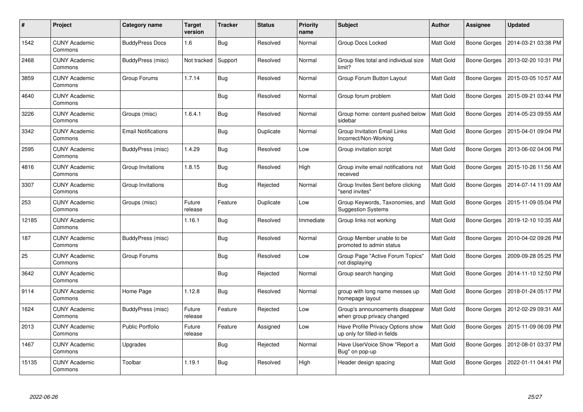| $\pmb{\#}$ | <b>Project</b>                  | Category name              | <b>Target</b><br>version | <b>Tracker</b> | <b>Status</b> | <b>Priority</b><br>name | <b>Subject</b>                                                    | <b>Author</b>    | <b>Assignee</b>     | <b>Updated</b>      |
|------------|---------------------------------|----------------------------|--------------------------|----------------|---------------|-------------------------|-------------------------------------------------------------------|------------------|---------------------|---------------------|
| 1542       | <b>CUNY Academic</b><br>Commons | <b>BuddyPress Docs</b>     | 1.6                      | Bug            | Resolved      | Normal                  | Group Docs Locked                                                 | Matt Gold        | Boone Gorges        | 2014-03-21 03:38 PM |
| 2468       | <b>CUNY Academic</b><br>Commons | BuddyPress (misc)          | Not tracked              | Support        | Resolved      | Normal                  | Group files total and individual size<br>limit?                   | Matt Gold        | Boone Gorges        | 2013-02-20 10:31 PM |
| 3859       | <b>CUNY Academic</b><br>Commons | Group Forums               | 1.7.14                   | <b>Bug</b>     | Resolved      | Normal                  | Group Forum Button Layout                                         | Matt Gold        | Boone Gorges        | 2015-03-05 10:57 AM |
| 4640       | <b>CUNY Academic</b><br>Commons |                            |                          | <b>Bug</b>     | Resolved      | Normal                  | Group forum problem                                               | Matt Gold        | Boone Gorges        | 2015-09-21 03:44 PM |
| 3226       | <b>CUNY Academic</b><br>Commons | Groups (misc)              | 1.6.4.1                  | Bug            | Resolved      | Normal                  | Group home: content pushed below<br>sidebar                       | <b>Matt Gold</b> | <b>Boone Gorges</b> | 2014-05-23 09:55 AM |
| 3342       | <b>CUNY Academic</b><br>Commons | <b>Email Notifications</b> |                          | Bug            | Duplicate     | Normal                  | Group Invitation Email Links<br>Incorrect/Non-Working             | Matt Gold        | Boone Gorges        | 2015-04-01 09:04 PM |
| 2595       | <b>CUNY Academic</b><br>Commons | BuddyPress (misc)          | 1.4.29                   | <b>Bug</b>     | Resolved      | Low                     | Group invitation script                                           | <b>Matt Gold</b> | Boone Gorges        | 2013-06-02 04:06 PM |
| 4816       | <b>CUNY Academic</b><br>Commons | Group Invitations          | 1.8.15                   | <b>Bug</b>     | Resolved      | High                    | Group invite email notifications not<br>received                  | <b>Matt Gold</b> | Boone Gorges        | 2015-10-26 11:56 AM |
| 3307       | <b>CUNY Academic</b><br>Commons | Group Invitations          |                          | Bug            | Rejected      | Normal                  | Group Invites Sent before clicking<br>"send invites"              | Matt Gold        | Boone Gorges        | 2014-07-14 11:09 AM |
| 253        | <b>CUNY Academic</b><br>Commons | Groups (misc)              | Future<br>release        | Feature        | Duplicate     | Low                     | Group Keywords, Taxonomies, and<br><b>Suggestion Systems</b>      | Matt Gold        | Boone Gorges        | 2015-11-09 05:04 PM |
| 12185      | <b>CUNY Academic</b><br>Commons |                            | 1.16.1                   | Bug            | Resolved      | Immediate               | Group links not working                                           | Matt Gold        | <b>Boone Gorges</b> | 2019-12-10 10:35 AM |
| 187        | <b>CUNY Academic</b><br>Commons | BuddyPress (misc)          |                          | <b>Bug</b>     | Resolved      | Normal                  | Group Member unable to be<br>promoted to admin status             | Matt Gold        | Boone Gorges        | 2010-04-02 09:26 PM |
| 25         | <b>CUNY Academic</b><br>Commons | Group Forums               |                          | <b>Bug</b>     | Resolved      | Low                     | Group Page "Active Forum Topics"<br>not displaying                | Matt Gold        | Boone Gorges        | 2009-09-28 05:25 PM |
| 3642       | <b>CUNY Academic</b><br>Commons |                            |                          | Bug            | Rejected      | Normal                  | Group search hanging                                              | Matt Gold        | Boone Gorges        | 2014-11-10 12:50 PM |
| 9114       | <b>CUNY Academic</b><br>Commons | Home Page                  | 1.12.8                   | <b>Bug</b>     | Resolved      | Normal                  | group with long name messes up<br>homepage layout                 | Matt Gold        | Boone Gorges        | 2018-01-24 05:17 PM |
| 1624       | <b>CUNY Academic</b><br>Commons | BuddyPress (misc)          | Future<br>release        | Feature        | Rejected      | Low                     | Group's announcements disappear<br>when group privacy changed     | <b>Matt Gold</b> | Boone Gorges        | 2012-02-29 09:31 AM |
| 2013       | <b>CUNY Academic</b><br>Commons | <b>Public Portfolio</b>    | Future<br>release        | Feature        | Assigned      | Low                     | Have Profile Privacy Options show<br>up only for filled-in fields | Matt Gold        | Boone Gorges        | 2015-11-09 06:09 PM |
| 1467       | <b>CUNY Academic</b><br>Commons | Upgrades                   |                          | <b>Bug</b>     | Rejected      | Normal                  | Have UserVoice Show "Report a<br>Bug" on pop-up                   | Matt Gold        | Boone Gorges        | 2012-08-01 03:37 PM |
| 15135      | <b>CUNY Academic</b><br>Commons | Toolbar                    | 1.19.1                   | <b>Bug</b>     | Resolved      | High                    | Header design spacing                                             | Matt Gold        | Boone Gorges        | 2022-01-11 04:41 PM |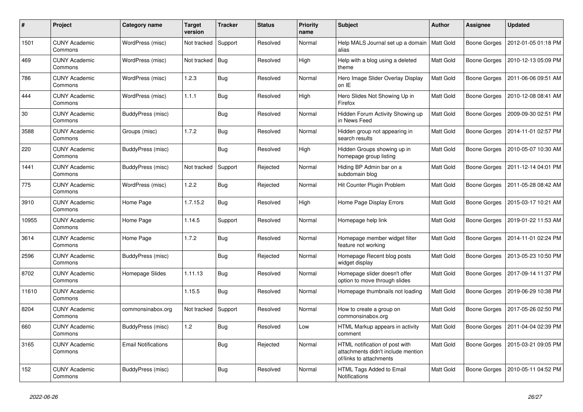| #     | Project                         | Category name              | <b>Target</b><br>version | <b>Tracker</b> | <b>Status</b> | <b>Priority</b><br>name | Subject                                                                                         | Author           | Assignee            | <b>Updated</b>      |
|-------|---------------------------------|----------------------------|--------------------------|----------------|---------------|-------------------------|-------------------------------------------------------------------------------------------------|------------------|---------------------|---------------------|
| 1501  | <b>CUNY Academic</b><br>Commons | WordPress (misc)           | Not tracked              | Support        | Resolved      | Normal                  | Help MALS Journal set up a domain<br>alias                                                      | <b>Matt Gold</b> | Boone Gorges        | 2012-01-05 01:18 PM |
| 469   | <b>CUNY Academic</b><br>Commons | WordPress (misc)           | Not tracked              | Bug            | Resolved      | High                    | Help with a blog using a deleted<br>theme                                                       | Matt Gold        | Boone Gorges        | 2010-12-13 05:09 PM |
| 786   | <b>CUNY Academic</b><br>Commons | WordPress (misc)           | 1.2.3                    | <b>Bug</b>     | Resolved      | Normal                  | Hero Image Slider Overlay Display<br>on IE                                                      | Matt Gold        | Boone Gorges        | 2011-06-06 09:51 AM |
| 444   | <b>CUNY Academic</b><br>Commons | WordPress (misc)           | 1.1.1                    | <b>Bug</b>     | Resolved      | High                    | Hero Slides Not Showing Up in<br>Firefox                                                        | Matt Gold        | <b>Boone Gorges</b> | 2010-12-08 08:41 AM |
| 30    | <b>CUNY Academic</b><br>Commons | <b>BuddyPress (misc)</b>   |                          | Bug            | Resolved      | Normal                  | Hidden Forum Activity Showing up<br>in News Feed                                                | Matt Gold        | Boone Gorges        | 2009-09-30 02:51 PM |
| 3588  | <b>CUNY Academic</b><br>Commons | Groups (misc)              | 1.7.2                    | Bug            | Resolved      | Normal                  | Hidden group not appearing in<br>search results                                                 | Matt Gold        | Boone Gorges        | 2014-11-01 02:57 PM |
| 220   | <b>CUNY Academic</b><br>Commons | BuddyPress (misc)          |                          | Bug            | Resolved      | High                    | Hidden Groups showing up in<br>homepage group listing                                           | <b>Matt Gold</b> | Boone Gorges        | 2010-05-07 10:30 AM |
| 1441  | <b>CUNY Academic</b><br>Commons | BuddyPress (misc)          | Not tracked              | Support        | Rejected      | Normal                  | Hiding BP Admin bar on a<br>subdomain blog                                                      | Matt Gold        | <b>Boone Gorges</b> | 2011-12-14 04:01 PM |
| 775   | <b>CUNY Academic</b><br>Commons | WordPress (misc)           | 1.2.2                    | <b>Bug</b>     | Rejected      | Normal                  | Hit Counter Plugin Problem                                                                      | Matt Gold        | Boone Gorges        | 2011-05-28 08:42 AM |
| 3910  | <b>CUNY Academic</b><br>Commons | Home Page                  | 1.7.15.2                 | <b>Bug</b>     | Resolved      | High                    | Home Page Display Errors                                                                        | Matt Gold        | Boone Gorges        | 2015-03-17 10:21 AM |
| 10955 | <b>CUNY Academic</b><br>Commons | Home Page                  | 1.14.5                   | Support        | Resolved      | Normal                  | Homepage help link                                                                              | Matt Gold        | <b>Boone Gorges</b> | 2019-01-22 11:53 AM |
| 3614  | <b>CUNY Academic</b><br>Commons | Home Page                  | 1.7.2                    | Bug            | Resolved      | Normal                  | Homepage member widget filter<br>feature not working                                            | Matt Gold        | Boone Gorges        | 2014-11-01 02:24 PM |
| 2596  | <b>CUNY Academic</b><br>Commons | BuddyPress (misc)          |                          | Bug            | Rejected      | Normal                  | Homepage Recent blog posts<br>widget display                                                    | Matt Gold        | Boone Gorges        | 2013-05-23 10:50 PM |
| 8702  | <b>CUNY Academic</b><br>Commons | Homepage Slides            | 1.11.13                  | <b>Bug</b>     | Resolved      | Normal                  | Homepage slider doesn't offer<br>option to move through slides                                  | Matt Gold        | <b>Boone Gorges</b> | 2017-09-14 11:37 PM |
| 11610 | <b>CUNY Academic</b><br>Commons |                            | 1.15.5                   | Bug            | Resolved      | Normal                  | Homepage thumbnails not loading                                                                 | Matt Gold        | <b>Boone Gorges</b> | 2019-06-29 10:38 PM |
| 8204  | <b>CUNY Academic</b><br>Commons | commonsinabox.org          | Not tracked              | Support        | Resolved      | Normal                  | How to create a group on<br>commonsinabox.org                                                   | Matt Gold        | Boone Gorges        | 2017-05-26 02:50 PM |
| 660   | <b>CUNY Academic</b><br>Commons | BuddyPress (misc)          | 1.2                      | <b>Bug</b>     | Resolved      | Low                     | HTML Markup appears in activity<br>comment                                                      | Matt Gold        | Boone Gorges        | 2011-04-04 02:39 PM |
| 3165  | <b>CUNY Academic</b><br>Commons | <b>Email Notifications</b> |                          | <b>Bug</b>     | Rejected      | Normal                  | HTML notification of post with<br>attachments didn't include mention<br>of/links to attachments | Matt Gold        | Boone Gorges        | 2015-03-21 09:05 PM |
| 152   | <b>CUNY Academic</b><br>Commons | BuddyPress (misc)          |                          | <b>Bug</b>     | Resolved      | Normal                  | HTML Tags Added to Email<br>Notifications                                                       | Matt Gold        | <b>Boone Gorges</b> | 2010-05-11 04:52 PM |